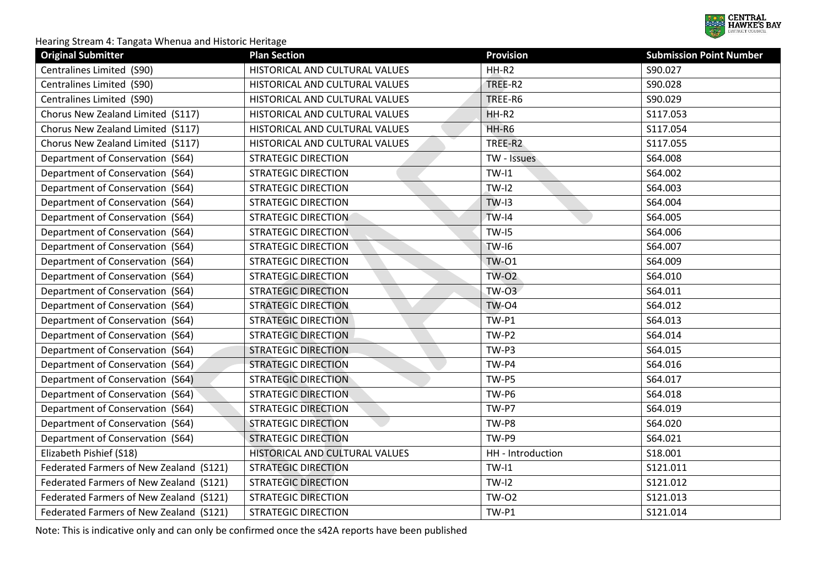

| <b>Original Submitter</b>               | <b>Plan Section</b>            | <b>Provision</b>  | <b>Submission Point Number</b> |
|-----------------------------------------|--------------------------------|-------------------|--------------------------------|
| Centralines Limited (S90)               | HISTORICAL AND CULTURAL VALUES | $HH-R2$           | S90.027                        |
| Centralines Limited (S90)               | HISTORICAL AND CULTURAL VALUES | TREE-R2           | S90.028                        |
| Centralines Limited (S90)               | HISTORICAL AND CULTURAL VALUES | TREE-R6           | S90.029                        |
| Chorus New Zealand Limited (S117)       | HISTORICAL AND CULTURAL VALUES | HH-R2             | S117.053                       |
| Chorus New Zealand Limited (S117)       | HISTORICAL AND CULTURAL VALUES | HH-R6             | S117.054                       |
| Chorus New Zealand Limited (S117)       | HISTORICAL AND CULTURAL VALUES | TREE-R2           | S117.055                       |
| Department of Conservation (S64)        | <b>STRATEGIC DIRECTION</b>     | TW - Issues       | S64.008                        |
| Department of Conservation (S64)        | <b>STRATEGIC DIRECTION</b>     | $TW-I1$           | S64.002                        |
| Department of Conservation (S64)        | <b>STRATEGIC DIRECTION</b>     | $TW-I2$           | S64.003                        |
| Department of Conservation (S64)        | <b>STRATEGIC DIRECTION</b>     | $TW-I3$           | S64.004                        |
| Department of Conservation (S64)        | <b>STRATEGIC DIRECTION</b>     | $TW-I4$           | S64.005                        |
| Department of Conservation (S64)        | <b>STRATEGIC DIRECTION</b>     | $TW-I5$           | S64.006                        |
| Department of Conservation (S64)        | <b>STRATEGIC DIRECTION</b>     | <b>TW-16</b>      | S64.007                        |
| Department of Conservation (S64)        | <b>STRATEGIC DIRECTION</b>     | <b>TW-01</b>      | S64.009                        |
| Department of Conservation (S64)        | <b>STRATEGIC DIRECTION</b>     | <b>TW-02</b>      | S64.010                        |
| Department of Conservation (S64)        | <b>STRATEGIC DIRECTION</b>     | $TW-O3$           | S64.011                        |
| Department of Conservation (S64)        | <b>STRATEGIC DIRECTION</b>     | <b>TW-04</b>      | S64.012                        |
| Department of Conservation (S64)        | <b>STRATEGIC DIRECTION</b>     | $TW-P1$           | S64.013                        |
| Department of Conservation (S64)        | <b>STRATEGIC DIRECTION</b>     | TW-P2             | S64.014                        |
| Department of Conservation (S64)        | <b>STRATEGIC DIRECTION</b>     | TW-P3             | S64.015                        |
| Department of Conservation (S64)        | <b>STRATEGIC DIRECTION</b>     | TW-P4             | S64.016                        |
| Department of Conservation (S64)        | <b>STRATEGIC DIRECTION</b>     | TW-P5             | S64.017                        |
| Department of Conservation (S64)        | <b>STRATEGIC DIRECTION</b>     | TW-P6             | S64.018                        |
| Department of Conservation (S64)        | <b>STRATEGIC DIRECTION</b>     | TW-P7             | S64.019                        |
| Department of Conservation (S64)        | <b>STRATEGIC DIRECTION</b>     | TW-P8             | S64.020                        |
| Department of Conservation (S64)        | <b>STRATEGIC DIRECTION</b>     | TW-P9             | S64.021                        |
| Elizabeth Pishief (S18)                 | HISTORICAL AND CULTURAL VALUES | HH - Introduction | S18.001                        |
| Federated Farmers of New Zealand (S121) | <b>STRATEGIC DIRECTION</b>     | $TW-I1$           | S121.011                       |
| Federated Farmers of New Zealand (S121) | <b>STRATEGIC DIRECTION</b>     | $TW-I2$           | S121.012                       |
| Federated Farmers of New Zealand (S121) | <b>STRATEGIC DIRECTION</b>     | <b>TW-02</b>      | S121.013                       |
| Federated Farmers of New Zealand (S121) | <b>STRATEGIC DIRECTION</b>     | $TW-P1$           | S121.014                       |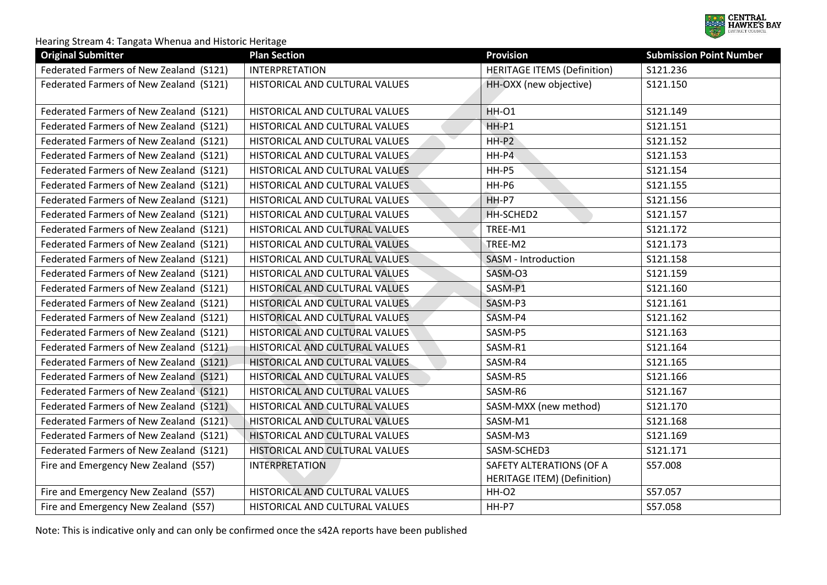

| <b>Original Submitter</b>               | <b>Plan Section</b>            | <b>Provision</b>                   | <b>Submission Point Number</b> |
|-----------------------------------------|--------------------------------|------------------------------------|--------------------------------|
| Federated Farmers of New Zealand (S121) | <b>INTERPRETATION</b>          | <b>HERITAGE ITEMS (Definition)</b> | S121.236                       |
| Federated Farmers of New Zealand (S121) | HISTORICAL AND CULTURAL VALUES | HH-OXX (new objective)             | S121.150                       |
| Federated Farmers of New Zealand (S121) | HISTORICAL AND CULTURAL VALUES | <b>HH-01</b>                       | S121.149                       |
| Federated Farmers of New Zealand (S121) | HISTORICAL AND CULTURAL VALUES | HH-P1                              | S121.151                       |
| Federated Farmers of New Zealand (S121) | HISTORICAL AND CULTURAL VALUES | $HH-P2$                            | S121.152                       |
| Federated Farmers of New Zealand (S121) | HISTORICAL AND CULTURAL VALUES | $HH-P4$                            | S121.153                       |
| Federated Farmers of New Zealand (S121) | HISTORICAL AND CULTURAL VALUES | HH-P5                              | S121.154                       |
| Federated Farmers of New Zealand (S121) | HISTORICAL AND CULTURAL VALUES | HH-P6                              | S121.155                       |
| Federated Farmers of New Zealand (S121) | HISTORICAL AND CULTURAL VALUES | HH-P7                              | S121.156                       |
| Federated Farmers of New Zealand (S121) | HISTORICAL AND CULTURAL VALUES | HH-SCHED2                          | S121.157                       |
| Federated Farmers of New Zealand (S121) | HISTORICAL AND CULTURAL VALUES | TREE-M1                            | S121.172                       |
| Federated Farmers of New Zealand (S121) | HISTORICAL AND CULTURAL VALUES | TREE-M2                            | S121.173                       |
| Federated Farmers of New Zealand (S121) | HISTORICAL AND CULTURAL VALUES | SASM - Introduction                | S121.158                       |
| Federated Farmers of New Zealand (S121) | HISTORICAL AND CULTURAL VALUES | SASM-O3                            | S121.159                       |
| Federated Farmers of New Zealand (S121) | HISTORICAL AND CULTURAL VALUES | SASM-P1                            | S121.160                       |
| Federated Farmers of New Zealand (S121) | HISTORICAL AND CULTURAL VALUES | SASM-P3                            | S121.161                       |
| Federated Farmers of New Zealand (S121) | HISTORICAL AND CULTURAL VALUES | SASM-P4                            | S121.162                       |
| Federated Farmers of New Zealand (S121) | HISTORICAL AND CULTURAL VALUES | SASM-P5                            | S121.163                       |
| Federated Farmers of New Zealand (S121) | HISTORICAL AND CULTURAL VALUES | SASM-R1                            | S121.164                       |
| Federated Farmers of New Zealand (S121) | HISTORICAL AND CULTURAL VALUES | SASM-R4                            | S121.165                       |
| Federated Farmers of New Zealand (S121) | HISTORICAL AND CULTURAL VALUES | SASM-R5                            | S121.166                       |
| Federated Farmers of New Zealand (S121) | HISTORICAL AND CULTURAL VALUES | SASM-R6                            | S121.167                       |
| Federated Farmers of New Zealand (S121) | HISTORICAL AND CULTURAL VALUES | SASM-MXX (new method)              | S121.170                       |
| Federated Farmers of New Zealand (S121) | HISTORICAL AND CULTURAL VALUES | SASM-M1                            | S121.168                       |
| Federated Farmers of New Zealand (S121) | HISTORICAL AND CULTURAL VALUES | SASM-M3                            | S121.169                       |
| Federated Farmers of New Zealand (S121) | HISTORICAL AND CULTURAL VALUES | SASM-SCHED3                        | S121.171                       |
| Fire and Emergency New Zealand (S57)    | <b>INTERPRETATION</b>          | SAFETY ALTERATIONS (OF A           | S57.008                        |
|                                         |                                | <b>HERITAGE ITEM) (Definition)</b> |                                |
| Fire and Emergency New Zealand (S57)    | HISTORICAL AND CULTURAL VALUES | <b>HH-02</b>                       | S57.057                        |
| Fire and Emergency New Zealand (S57)    | HISTORICAL AND CULTURAL VALUES | HH-P7                              | S57.058                        |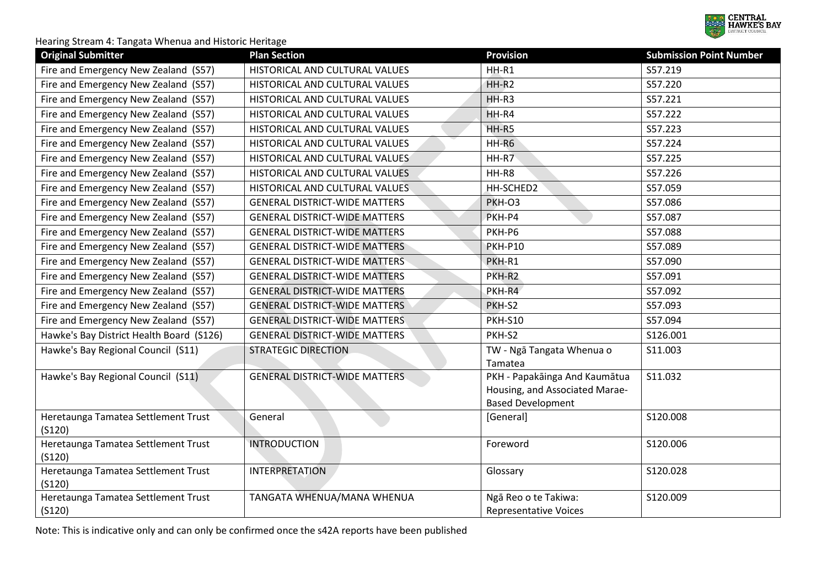

| <b>Original Submitter</b>                     | <b>Plan Section</b>                  | <b>Provision</b>                                                                            | <b>Submission Point Number</b> |
|-----------------------------------------------|--------------------------------------|---------------------------------------------------------------------------------------------|--------------------------------|
| Fire and Emergency New Zealand (S57)          | HISTORICAL AND CULTURAL VALUES       | HH-R1                                                                                       | S57.219                        |
| Fire and Emergency New Zealand (S57)          | HISTORICAL AND CULTURAL VALUES       | $HH-R2$                                                                                     | S57.220                        |
| Fire and Emergency New Zealand (S57)          | HISTORICAL AND CULTURAL VALUES       | $HH-R3$                                                                                     | S57.221                        |
| Fire and Emergency New Zealand (S57)          | HISTORICAL AND CULTURAL VALUES       | HH-R4                                                                                       | S57.222                        |
| Fire and Emergency New Zealand (S57)          | HISTORICAL AND CULTURAL VALUES       | HH-R5                                                                                       | S57.223                        |
| Fire and Emergency New Zealand (S57)          | HISTORICAL AND CULTURAL VALUES       | HH-R6                                                                                       | S57.224                        |
| Fire and Emergency New Zealand (S57)          | HISTORICAL AND CULTURAL VALUES       | HH-R7                                                                                       | S57.225                        |
| Fire and Emergency New Zealand (S57)          | HISTORICAL AND CULTURAL VALUES       | HH-R8                                                                                       | S57.226                        |
| Fire and Emergency New Zealand (S57)          | HISTORICAL AND CULTURAL VALUES       | HH-SCHED2                                                                                   | S57.059                        |
| Fire and Emergency New Zealand (S57)          | <b>GENERAL DISTRICT-WIDE MATTERS</b> | PKH-O3                                                                                      | S57.086                        |
| Fire and Emergency New Zealand (S57)          | <b>GENERAL DISTRICT-WIDE MATTERS</b> | PKH-P4                                                                                      | S57.087                        |
| Fire and Emergency New Zealand (S57)          | <b>GENERAL DISTRICT-WIDE MATTERS</b> | PKH-P6                                                                                      | S57.088                        |
| Fire and Emergency New Zealand (S57)          | <b>GENERAL DISTRICT-WIDE MATTERS</b> | <b>PKH-P10</b>                                                                              | S57.089                        |
| Fire and Emergency New Zealand (S57)          | <b>GENERAL DISTRICT-WIDE MATTERS</b> | PKH-R1                                                                                      | S57.090                        |
| Fire and Emergency New Zealand (S57)          | <b>GENERAL DISTRICT-WIDE MATTERS</b> | PKH-R2                                                                                      | S57.091                        |
| Fire and Emergency New Zealand (S57)          | <b>GENERAL DISTRICT-WIDE MATTERS</b> | PKH-R4                                                                                      | S57.092                        |
| Fire and Emergency New Zealand (S57)          | <b>GENERAL DISTRICT-WIDE MATTERS</b> | PKH-S2                                                                                      | S57.093                        |
| Fire and Emergency New Zealand (S57)          | <b>GENERAL DISTRICT-WIDE MATTERS</b> | <b>PKH-S10</b>                                                                              | S57.094                        |
| Hawke's Bay District Health Board (S126)      | <b>GENERAL DISTRICT-WIDE MATTERS</b> | PKH-S2                                                                                      | S126.001                       |
| Hawke's Bay Regional Council (S11)            | <b>STRATEGIC DIRECTION</b>           | TW - Ngā Tangata Whenua o<br>Tamatea                                                        | S11.003                        |
| Hawke's Bay Regional Council (S11)            | <b>GENERAL DISTRICT-WIDE MATTERS</b> | PKH - Papakāinga And Kaumātua<br>Housing, and Associated Marae-<br><b>Based Development</b> | S11.032                        |
| Heretaunga Tamatea Settlement Trust<br>(5120) | General                              | [General]                                                                                   | S120.008                       |
| Heretaunga Tamatea Settlement Trust<br>(5120) | <b>INTRODUCTION</b>                  | Foreword                                                                                    | S120.006                       |
| Heretaunga Tamatea Settlement Trust<br>(5120) | <b>INTERPRETATION</b>                | Glossary                                                                                    | S120.028                       |
| Heretaunga Tamatea Settlement Trust<br>(5120) | TANGATA WHENUA/MANA WHENUA           | Ngā Reo o te Takiwa:<br><b>Representative Voices</b>                                        | S120.009                       |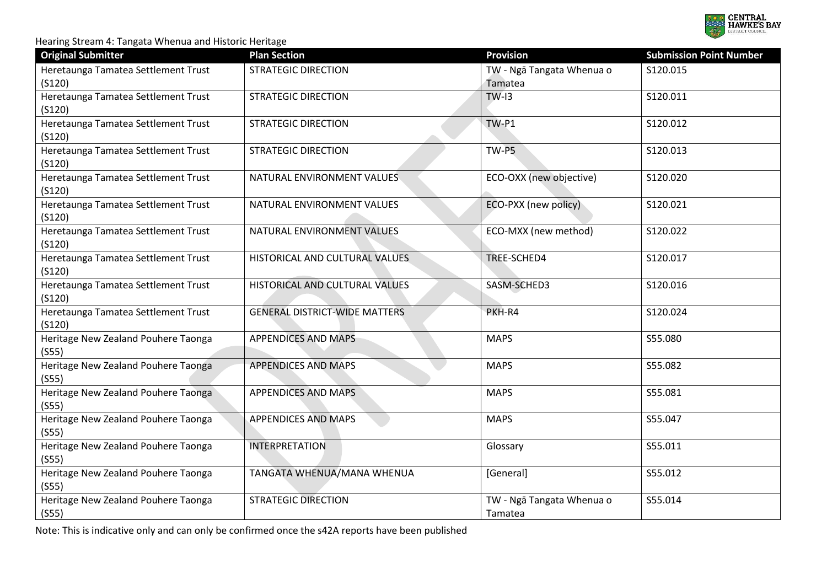

| <b>Original Submitter</b>                     | <b>Plan Section</b>                  | <b>Provision</b>                     | <b>Submission Point Number</b> |
|-----------------------------------------------|--------------------------------------|--------------------------------------|--------------------------------|
| Heretaunga Tamatea Settlement Trust<br>(S120) | <b>STRATEGIC DIRECTION</b>           | TW - Ngā Tangata Whenua o<br>Tamatea | S120.015                       |
| Heretaunga Tamatea Settlement Trust<br>(5120) | <b>STRATEGIC DIRECTION</b>           | $TW-13$                              | S120.011                       |
| Heretaunga Tamatea Settlement Trust<br>(5120) | <b>STRATEGIC DIRECTION</b>           | TW-P1                                | S120.012                       |
| Heretaunga Tamatea Settlement Trust<br>(5120) | <b>STRATEGIC DIRECTION</b>           | TW-P5                                | S120.013                       |
| Heretaunga Tamatea Settlement Trust<br>(5120) | NATURAL ENVIRONMENT VALUES           | ECO-OXX (new objective)              | S120.020                       |
| Heretaunga Tamatea Settlement Trust<br>(5120) | NATURAL ENVIRONMENT VALUES           | ECO-PXX (new policy)                 | S120.021                       |
| Heretaunga Tamatea Settlement Trust<br>(5120) | NATURAL ENVIRONMENT VALUES           | ECO-MXX (new method)                 | S120.022                       |
| Heretaunga Tamatea Settlement Trust<br>(5120) | HISTORICAL AND CULTURAL VALUES       | TREE-SCHED4                          | S120.017                       |
| Heretaunga Tamatea Settlement Trust<br>(5120) | HISTORICAL AND CULTURAL VALUES       | SASM-SCHED3                          | S120.016                       |
| Heretaunga Tamatea Settlement Trust<br>(5120) | <b>GENERAL DISTRICT-WIDE MATTERS</b> | PKH-R4                               | S120.024                       |
| Heritage New Zealand Pouhere Taonga<br>(555)  | <b>APPENDICES AND MAPS</b>           | <b>MAPS</b>                          | S55.080                        |
| Heritage New Zealand Pouhere Taonga<br>(S55)  | <b>APPENDICES AND MAPS</b>           | <b>MAPS</b>                          | S55.082                        |
| Heritage New Zealand Pouhere Taonga<br>(S55)  | <b>APPENDICES AND MAPS</b>           | <b>MAPS</b>                          | S55.081                        |
| Heritage New Zealand Pouhere Taonga<br>(555)  | <b>APPENDICES AND MAPS</b>           | <b>MAPS</b>                          | S55.047                        |
| Heritage New Zealand Pouhere Taonga<br>(S55)  | <b>INTERPRETATION</b>                | Glossary                             | S55.011                        |
| Heritage New Zealand Pouhere Taonga<br>(S55)  | TANGATA WHENUA/MANA WHENUA           | [General]                            | S55.012                        |
| Heritage New Zealand Pouhere Taonga<br>(555)  | <b>STRATEGIC DIRECTION</b>           | TW - Ngā Tangata Whenua o<br>Tamatea | S55.014                        |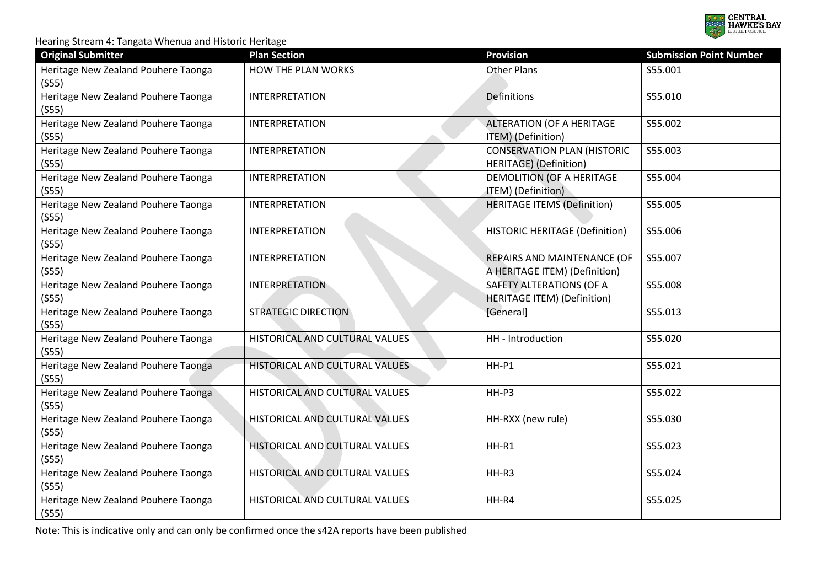

| <b>Original Submitter</b>                    | <b>Plan Section</b>            | <b>Provision</b>                                               | <b>Submission Point Number</b> |
|----------------------------------------------|--------------------------------|----------------------------------------------------------------|--------------------------------|
| Heritage New Zealand Pouhere Taonga<br>(555) | HOW THE PLAN WORKS             | <b>Other Plans</b>                                             | S55.001                        |
| Heritage New Zealand Pouhere Taonga<br>(S55) | <b>INTERPRETATION</b>          | <b>Definitions</b>                                             | S55.010                        |
| Heritage New Zealand Pouhere Taonga<br>(555) | <b>INTERPRETATION</b>          | <b>ALTERATION (OF A HERITAGE</b><br>ITEM) (Definition)         | S55.002                        |
| Heritage New Zealand Pouhere Taonga<br>(S55) | <b>INTERPRETATION</b>          | <b>CONSERVATION PLAN (HISTORIC</b><br>HERITAGE) (Definition)   | S55.003                        |
| Heritage New Zealand Pouhere Taonga<br>(S55) | <b>INTERPRETATION</b>          | DEMOLITION (OF A HERITAGE<br>ITEM) (Definition)                | S55.004                        |
| Heritage New Zealand Pouhere Taonga<br>(S55) | <b>INTERPRETATION</b>          | <b>HERITAGE ITEMS (Definition)</b>                             | S55.005                        |
| Heritage New Zealand Pouhere Taonga<br>(S55) | <b>INTERPRETATION</b>          | <b>HISTORIC HERITAGE (Definition)</b>                          | S55.006                        |
| Heritage New Zealand Pouhere Taonga<br>(555) | <b>INTERPRETATION</b>          | REPAIRS AND MAINTENANCE (OF<br>A HERITAGE ITEM) (Definition)   | S55.007                        |
| Heritage New Zealand Pouhere Taonga<br>(555) | <b>INTERPRETATION</b>          | SAFETY ALTERATIONS (OF A<br><b>HERITAGE ITEM) (Definition)</b> | S55.008                        |
| Heritage New Zealand Pouhere Taonga<br>(555) | <b>STRATEGIC DIRECTION</b>     | [General]                                                      | S55.013                        |
| Heritage New Zealand Pouhere Taonga<br>(555) | HISTORICAL AND CULTURAL VALUES | HH - Introduction                                              | S55.020                        |
| Heritage New Zealand Pouhere Taonga<br>(S55) | HISTORICAL AND CULTURAL VALUES | HH-P1                                                          | S55.021                        |
| Heritage New Zealand Pouhere Taonga<br>(555) | HISTORICAL AND CULTURAL VALUES | HH-P3                                                          | S55.022                        |
| Heritage New Zealand Pouhere Taonga<br>(S55) | HISTORICAL AND CULTURAL VALUES | HH-RXX (new rule)                                              | S55.030                        |
| Heritage New Zealand Pouhere Taonga<br>(555) | HISTORICAL AND CULTURAL VALUES | HH-R1                                                          | S55.023                        |
| Heritage New Zealand Pouhere Taonga<br>(555) | HISTORICAL AND CULTURAL VALUES | HH-R3                                                          | S55.024                        |
| Heritage New Zealand Pouhere Taonga<br>(S55) | HISTORICAL AND CULTURAL VALUES | HH-R4                                                          | S55.025                        |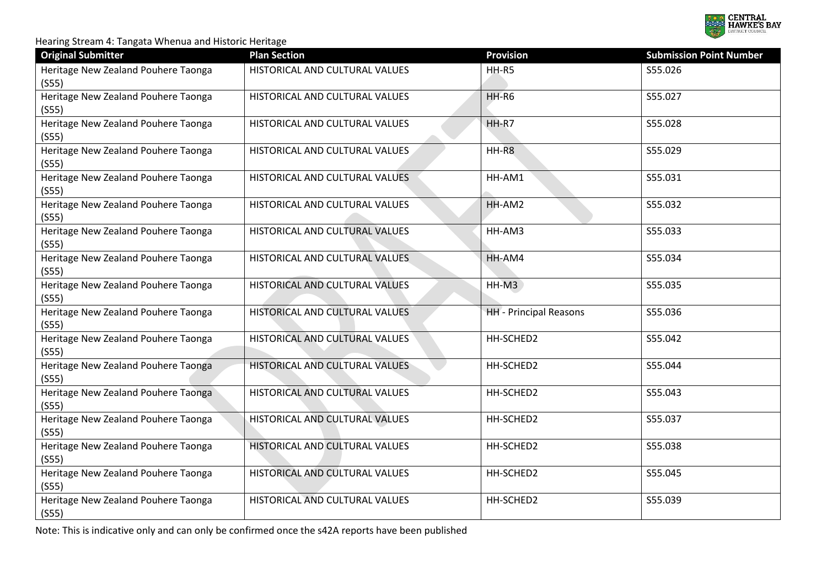

| <b>Original Submitter</b>                    | <b>Plan Section</b>            | <b>Provision</b>              | <b>Submission Point Number</b> |
|----------------------------------------------|--------------------------------|-------------------------------|--------------------------------|
| Heritage New Zealand Pouhere Taonga<br>(555) | HISTORICAL AND CULTURAL VALUES | HH-R5                         | S55.026                        |
| Heritage New Zealand Pouhere Taonga<br>(555) | HISTORICAL AND CULTURAL VALUES | $HH-R6$                       | S55.027                        |
| Heritage New Zealand Pouhere Taonga<br>(555) | HISTORICAL AND CULTURAL VALUES | HH-R7                         | S55.028                        |
| Heritage New Zealand Pouhere Taonga<br>(S55) | HISTORICAL AND CULTURAL VALUES | HH-R8                         | S55.029                        |
| Heritage New Zealand Pouhere Taonga<br>(S55) | HISTORICAL AND CULTURAL VALUES | HH-AM1                        | S55.031                        |
| Heritage New Zealand Pouhere Taonga<br>(S55) | HISTORICAL AND CULTURAL VALUES | HH-AM2                        | S55.032                        |
| Heritage New Zealand Pouhere Taonga<br>(555) | HISTORICAL AND CULTURAL VALUES | HH-AM3                        | S55.033                        |
| Heritage New Zealand Pouhere Taonga<br>(555) | HISTORICAL AND CULTURAL VALUES | HH-AM4                        | S55.034                        |
| Heritage New Zealand Pouhere Taonga<br>(S55) | HISTORICAL AND CULTURAL VALUES | HH-M3                         | S55.035                        |
| Heritage New Zealand Pouhere Taonga<br>(555) | HISTORICAL AND CULTURAL VALUES | <b>HH</b> - Principal Reasons | S55.036                        |
| Heritage New Zealand Pouhere Taonga<br>(555) | HISTORICAL AND CULTURAL VALUES | HH-SCHED2                     | S55.042                        |
| Heritage New Zealand Pouhere Taonga<br>(S55) | HISTORICAL AND CULTURAL VALUES | HH-SCHED2                     | S55.044                        |
| Heritage New Zealand Pouhere Taonga<br>(S55) | HISTORICAL AND CULTURAL VALUES | HH-SCHED2                     | S55.043                        |
| Heritage New Zealand Pouhere Taonga<br>(S55) | HISTORICAL AND CULTURAL VALUES | HH-SCHED2                     | S55.037                        |
| Heritage New Zealand Pouhere Taonga<br>(555) | HISTORICAL AND CULTURAL VALUES | HH-SCHED2                     | S55.038                        |
| Heritage New Zealand Pouhere Taonga<br>(555) | HISTORICAL AND CULTURAL VALUES | HH-SCHED2                     | S55.045                        |
| Heritage New Zealand Pouhere Taonga<br>(S55) | HISTORICAL AND CULTURAL VALUES | HH-SCHED2                     | S55.039                        |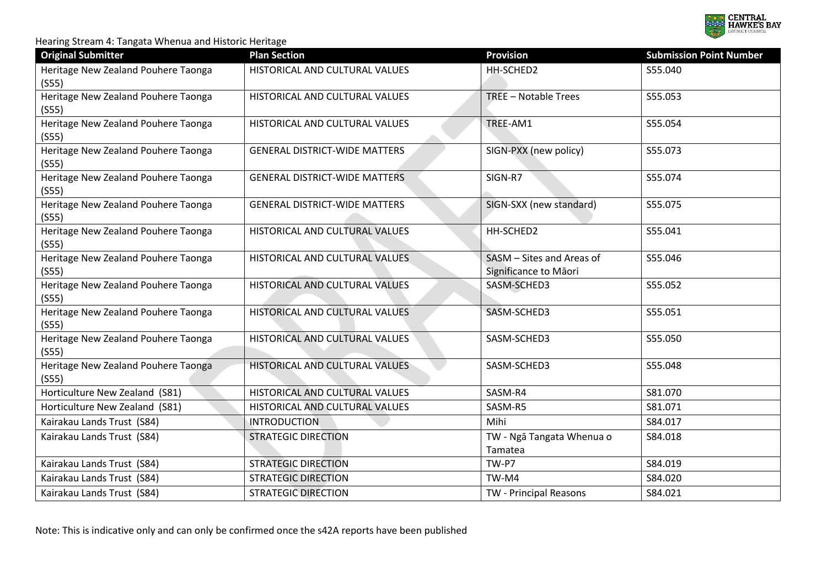

| <b>Original Submitter</b>                          | <b>Plan Section</b>                  | <b>Provision</b>                                   | <b>Submission Point Number</b> |
|----------------------------------------------------|--------------------------------------|----------------------------------------------------|--------------------------------|
| Heritage New Zealand Pouhere Taonga<br>(S55)       | HISTORICAL AND CULTURAL VALUES       | HH-SCHED2                                          | S55.040                        |
| Heritage New Zealand Pouhere Taonga<br>(555)       | HISTORICAL AND CULTURAL VALUES       | TREE - Notable Trees                               | S55.053                        |
| Heritage New Zealand Pouhere Taonga<br>(S55)       | HISTORICAL AND CULTURAL VALUES       | TREE-AM1                                           | S55.054                        |
| Heritage New Zealand Pouhere Taonga<br>(S55)       | <b>GENERAL DISTRICT-WIDE MATTERS</b> | SIGN-PXX (new policy)                              | S55.073                        |
| Heritage New Zealand Pouhere Taonga<br>$($ S55 $)$ | <b>GENERAL DISTRICT-WIDE MATTERS</b> | SIGN-R7                                            | S55.074                        |
| Heritage New Zealand Pouhere Taonga<br>(555)       | <b>GENERAL DISTRICT-WIDE MATTERS</b> | SIGN-SXX (new standard)                            | S55.075                        |
| Heritage New Zealand Pouhere Taonga<br>(S55)       | HISTORICAL AND CULTURAL VALUES       | HH-SCHED2                                          | S55.041                        |
| Heritage New Zealand Pouhere Taonga<br>(555)       | HISTORICAL AND CULTURAL VALUES       | SASM - Sites and Areas of<br>Significance to Māori | S55.046                        |
| Heritage New Zealand Pouhere Taonga<br>(555)       | HISTORICAL AND CULTURAL VALUES       | SASM-SCHED3                                        | S55.052                        |
| Heritage New Zealand Pouhere Taonga<br>(555)       | HISTORICAL AND CULTURAL VALUES       | SASM-SCHED3                                        | S55.051                        |
| Heritage New Zealand Pouhere Taonga<br>(S55)       | HISTORICAL AND CULTURAL VALUES       | SASM-SCHED3                                        | S55.050                        |
| Heritage New Zealand Pouhere Taonga<br>(555)       | HISTORICAL AND CULTURAL VALUES       | SASM-SCHED3                                        | S55.048                        |
| Horticulture New Zealand (S81)                     | HISTORICAL AND CULTURAL VALUES       | SASM-R4                                            | S81.070                        |
| Horticulture New Zealand (S81)                     | HISTORICAL AND CULTURAL VALUES       | SASM-R5                                            | S81.071                        |
| Kairakau Lands Trust (S84)                         | <b>INTRODUCTION</b>                  | Mihi                                               | S84.017                        |
| Kairakau Lands Trust (S84)                         | <b>STRATEGIC DIRECTION</b>           | TW - Ngā Tangata Whenua o<br>Tamatea               | S84.018                        |
| Kairakau Lands Trust (S84)                         | <b>STRATEGIC DIRECTION</b>           | TW-P7                                              | S84.019                        |
| Kairakau Lands Trust (S84)                         | <b>STRATEGIC DIRECTION</b>           | TW-M4                                              | S84.020                        |
| Kairakau Lands Trust (S84)                         | <b>STRATEGIC DIRECTION</b>           | TW - Principal Reasons                             | S84.021                        |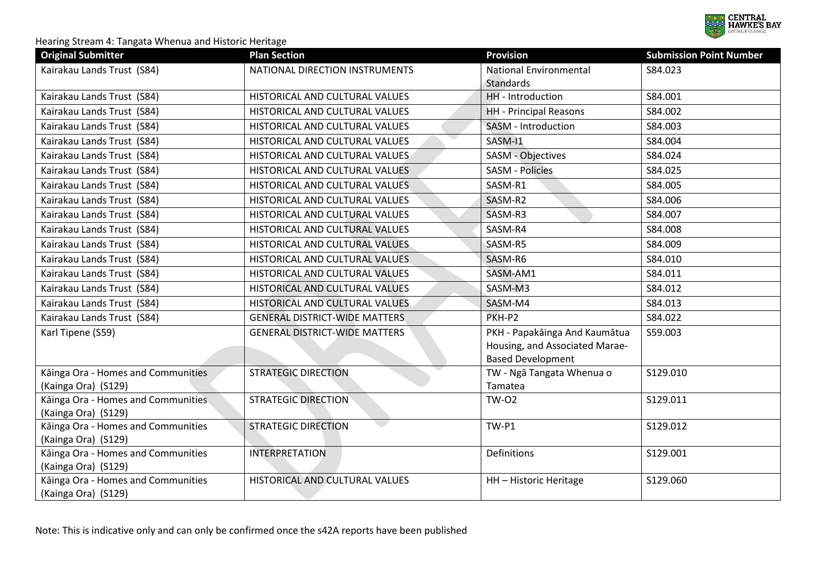

| <b>Original Submitter</b>                                 | <b>Plan Section</b>                  | <b>Provision</b>                     | <b>Submission Point Number</b> |
|-----------------------------------------------------------|--------------------------------------|--------------------------------------|--------------------------------|
| Kairakau Lands Trust (S84)                                | NATIONAL DIRECTION INSTRUMENTS       | <b>National Environmental</b>        | S84.023                        |
|                                                           |                                      | <b>Standards</b>                     |                                |
| Kairakau Lands Trust (S84)                                | HISTORICAL AND CULTURAL VALUES       | HH - Introduction                    | S84.001                        |
| Kairakau Lands Trust (S84)                                | HISTORICAL AND CULTURAL VALUES       | <b>HH</b> - Principal Reasons        | S84.002                        |
| Kairakau Lands Trust (S84)                                | HISTORICAL AND CULTURAL VALUES       | SASM - Introduction                  | S84.003                        |
| Kairakau Lands Trust (S84)                                | HISTORICAL AND CULTURAL VALUES       | SASM-I1                              | S84.004                        |
| Kairakau Lands Trust (S84)                                | HISTORICAL AND CULTURAL VALUES       | SASM - Objectives                    | S84.024                        |
| Kairakau Lands Trust (S84)                                | HISTORICAL AND CULTURAL VALUES       | <b>SASM - Policies</b>               | S84.025                        |
| Kairakau Lands Trust (S84)                                | HISTORICAL AND CULTURAL VALUES       | SASM-R1                              | S84.005                        |
| Kairakau Lands Trust (S84)                                | HISTORICAL AND CULTURAL VALUES       | SASM-R2                              | S84.006                        |
| Kairakau Lands Trust (S84)                                | HISTORICAL AND CULTURAL VALUES       | SASM-R3                              | S84.007                        |
| Kairakau Lands Trust (S84)                                | HISTORICAL AND CULTURAL VALUES       | SASM-R4                              | S84.008                        |
| Kairakau Lands Trust (S84)                                | HISTORICAL AND CULTURAL VALUES       | SASM-R5                              | S84.009                        |
| Kairakau Lands Trust (S84)                                | HISTORICAL AND CULTURAL VALUES       | SASM-R6                              | S84.010                        |
| Kairakau Lands Trust (S84)                                | HISTORICAL AND CULTURAL VALUES       | SASM-AM1                             | S84.011                        |
| Kairakau Lands Trust (S84)                                | HISTORICAL AND CULTURAL VALUES       | SASM-M3                              | S84.012                        |
| Kairakau Lands Trust (S84)                                | HISTORICAL AND CULTURAL VALUES       | SASM-M4                              | S84.013                        |
| Kairakau Lands Trust (S84)                                | <b>GENERAL DISTRICT-WIDE MATTERS</b> | PKH-P2                               | S84.022                        |
| Karl Tipene (S59)                                         | <b>GENERAL DISTRICT-WIDE MATTERS</b> | PKH - Papakāinga And Kaumātua        | S59.003                        |
|                                                           |                                      | Housing, and Associated Marae-       |                                |
|                                                           |                                      | <b>Based Development</b>             |                                |
| Kāinga Ora - Homes and Communities<br>(Kainga Ora) (S129) | <b>STRATEGIC DIRECTION</b>           | TW - Ngā Tangata Whenua o<br>Tamatea | S129.010                       |
| Kāinga Ora - Homes and Communities                        | <b>STRATEGIC DIRECTION</b>           | <b>TW-02</b>                         | S129.011                       |
| (Kainga Ora) (S129)                                       |                                      |                                      |                                |
| Kāinga Ora - Homes and Communities                        | <b>STRATEGIC DIRECTION</b>           | TW-P1                                | S129.012                       |
| (Kainga Ora) (S129)                                       |                                      |                                      |                                |
| Kāinga Ora - Homes and Communities                        | <b>INTERPRETATION</b>                | Definitions                          | S129.001                       |
| (Kainga Ora) (S129)                                       |                                      |                                      |                                |
| Kāinga Ora - Homes and Communities                        | HISTORICAL AND CULTURAL VALUES       | HH - Historic Heritage               | S129.060                       |
| (Kainga Ora) (S129)                                       |                                      |                                      |                                |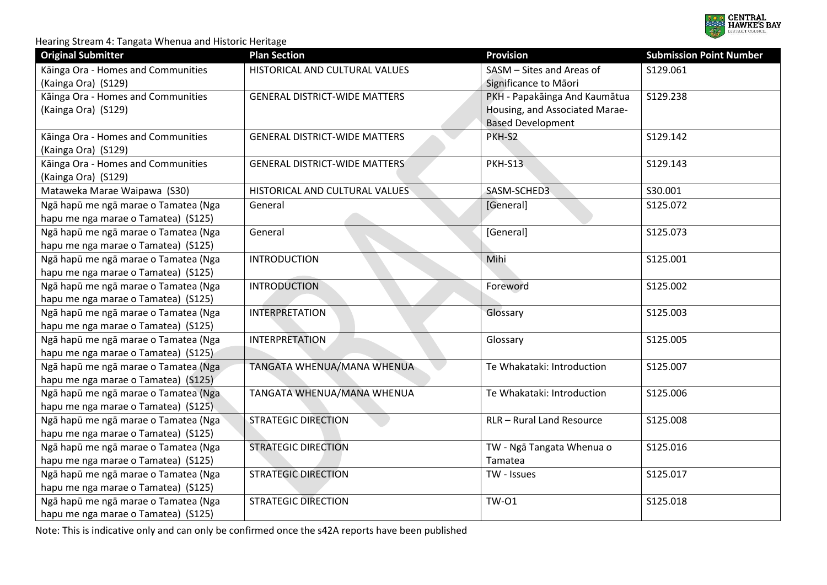

| <b>Original Submitter</b>                                 | <b>Plan Section</b>                  | <b>Provision</b>                                   | <b>Submission Point Number</b> |
|-----------------------------------------------------------|--------------------------------------|----------------------------------------------------|--------------------------------|
| Kāinga Ora - Homes and Communities<br>(Kainga Ora) (S129) | HISTORICAL AND CULTURAL VALUES       | SASM - Sites and Areas of<br>Significance to Māori | S129.061                       |
| Kāinga Ora - Homes and Communities                        | <b>GENERAL DISTRICT-WIDE MATTERS</b> | PKH - Papakāinga And Kaumātua                      | S129.238                       |
| (Kainga Ora) (S129)                                       |                                      | Housing, and Associated Marae-                     |                                |
|                                                           |                                      | <b>Based Development</b>                           |                                |
| Kāinga Ora - Homes and Communities                        | <b>GENERAL DISTRICT-WIDE MATTERS</b> | PKH-S2                                             | S129.142                       |
| (Kainga Ora) (S129)                                       |                                      |                                                    |                                |
| Kāinga Ora - Homes and Communities                        | <b>GENERAL DISTRICT-WIDE MATTERS</b> | <b>PKH-S13</b>                                     | S129.143                       |
| (Kainga Ora) (S129)                                       |                                      |                                                    |                                |
| Mataweka Marae Waipawa (S30)                              | HISTORICAL AND CULTURAL VALUES       | SASM-SCHED3                                        | S30.001                        |
| Ngā hapū me ngā marae o Tamatea (Nga                      | General                              | [General]                                          | S125.072                       |
| hapu me nga marae o Tamatea) (S125)                       |                                      |                                                    |                                |
| Ngā hapū me ngā marae o Tamatea (Nga                      | General                              | [General]                                          | S125.073                       |
| hapu me nga marae o Tamatea) (S125)                       |                                      |                                                    |                                |
| Ngā hapū me ngā marae o Tamatea (Nga                      | <b>INTRODUCTION</b>                  | Mihi                                               | S125.001                       |
| hapu me nga marae o Tamatea) (S125)                       |                                      |                                                    |                                |
| Ngā hapū me ngā marae o Tamatea (Nga                      | <b>INTRODUCTION</b>                  | Foreword                                           | S125.002                       |
| hapu me nga marae o Tamatea) (S125)                       |                                      |                                                    |                                |
| Ngā hapū me ngā marae o Tamatea (Nga                      | <b>INTERPRETATION</b>                | Glossary                                           | S125.003                       |
| hapu me nga marae o Tamatea) (S125)                       |                                      |                                                    |                                |
| Ngā hapū me ngā marae o Tamatea (Nga                      | <b>INTERPRETATION</b>                | Glossary                                           | S125.005                       |
| hapu me nga marae o Tamatea) (S125)                       |                                      |                                                    |                                |
| Ngā hapū me ngā marae o Tamatea (Nga                      | TANGATA WHENUA/MANA WHENUA           | Te Whakataki: Introduction                         | S125.007                       |
| hapu me nga marae o Tamatea) (\$125)                      |                                      |                                                    |                                |
| Ngā hapū me ngā marae o Tamatea (Nga                      | TANGATA WHENUA/MANA WHENUA           | Te Whakataki: Introduction                         | S125.006                       |
| hapu me nga marae o Tamatea) (S125)                       |                                      |                                                    |                                |
| Ngā hapū me ngā marae o Tamatea (Nga                      | <b>STRATEGIC DIRECTION</b>           | RLR - Rural Land Resource                          | S125.008                       |
| hapu me nga marae o Tamatea) (S125)                       |                                      |                                                    |                                |
| Nga hapū me ngā marae o Tamatea (Nga                      | <b>STRATEGIC DIRECTION</b>           | TW - Ngā Tangata Whenua o                          | S125.016                       |
| hapu me nga marae o Tamatea) (S125)                       |                                      | Tamatea                                            |                                |
| Ngā hapū me ngā marae o Tamatea (Nga                      | <b>STRATEGIC DIRECTION</b>           | TW - Issues                                        | S125.017                       |
| hapu me nga marae o Tamatea) (S125)                       |                                      |                                                    |                                |
| Ngā hapū me ngā marae o Tamatea (Nga                      | <b>STRATEGIC DIRECTION</b>           | <b>TW-01</b>                                       | S125.018                       |
| hapu me nga marae o Tamatea) (S125)                       |                                      |                                                    |                                |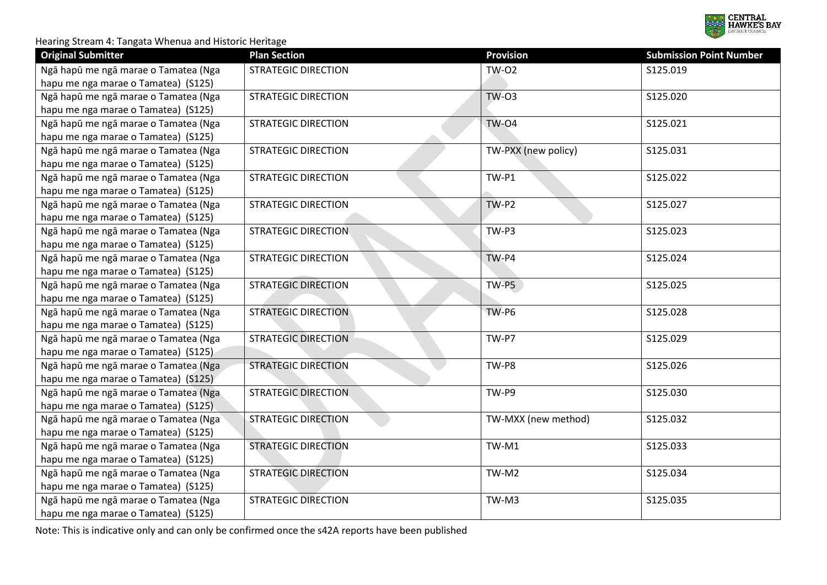

| <b>Original Submitter</b>            | <b>Plan Section</b>        | <b>Provision</b>    | <b>Submission Point Number</b> |
|--------------------------------------|----------------------------|---------------------|--------------------------------|
| Ngā hapū me ngā marae o Tamatea (Nga | <b>STRATEGIC DIRECTION</b> | <b>TW-02</b>        | S125.019                       |
| hapu me nga marae o Tamatea) (S125)  |                            |                     |                                |
| Ngā hapū me ngā marae o Tamatea (Nga | <b>STRATEGIC DIRECTION</b> | <b>TW-03</b>        | S125.020                       |
| hapu me nga marae o Tamatea) (S125)  |                            |                     |                                |
| Ngā hapū me ngā marae o Tamatea (Nga | <b>STRATEGIC DIRECTION</b> | <b>TW-04</b>        | S125.021                       |
| hapu me nga marae o Tamatea) (S125)  |                            |                     |                                |
| Ngā hapū me ngā marae o Tamatea (Nga | <b>STRATEGIC DIRECTION</b> | TW-PXX (new policy) | S125.031                       |
| hapu me nga marae o Tamatea) (S125)  |                            |                     |                                |
| Ngā hapū me ngā marae o Tamatea (Nga | <b>STRATEGIC DIRECTION</b> | TW-P1               | S125.022                       |
| hapu me nga marae o Tamatea) (S125)  |                            |                     |                                |
| Ngā hapū me ngā marae o Tamatea (Nga | <b>STRATEGIC DIRECTION</b> | $TW-P2$             | S125.027                       |
| hapu me nga marae o Tamatea) (S125)  |                            |                     |                                |
| Ngā hapū me ngā marae o Tamatea (Nga | <b>STRATEGIC DIRECTION</b> | TW-P3               | S125.023                       |
| hapu me nga marae o Tamatea) (S125)  |                            |                     |                                |
| Ngā hapū me ngā marae o Tamatea (Nga | <b>STRATEGIC DIRECTION</b> | TW-P4               | S125.024                       |
| hapu me nga marae o Tamatea) (S125)  |                            |                     |                                |
| Ngā hapū me ngā marae o Tamatea (Nga | <b>STRATEGIC DIRECTION</b> | $TW-PS$             | S125.025                       |
| hapu me nga marae o Tamatea) (S125)  |                            |                     |                                |
| Ngā hapū me ngā marae o Tamatea (Nga | <b>STRATEGIC DIRECTION</b> | TW-P6               | S125.028                       |
| hapu me nga marae o Tamatea) (S125)  |                            |                     |                                |
| Ngā hapū me ngā marae o Tamatea (Nga | <b>STRATEGIC DIRECTION</b> | TW-P7               | S125.029                       |
| hapu me nga marae o Tamatea) (S125). |                            |                     |                                |
| Ngā hapū me ngā marae o Tamatea (Nga | <b>STRATEGIC DIRECTION</b> | TW-P8               | S125.026                       |
| hapu me nga marae o Tamatea) (S125)  |                            |                     |                                |
| Ngā hapū me ngā marae o Tamatea (Nga | <b>STRATEGIC DIRECTION</b> | TW-P9               | S125.030                       |
| hapu me nga marae o Tamatea) (S125). |                            |                     |                                |
| Ngā hapū me ngā marae o Tamatea (Nga | <b>STRATEGIC DIRECTION</b> | TW-MXX (new method) | S125.032                       |
| hapu me nga marae o Tamatea) (S125)  |                            |                     |                                |
| Ngā hapū me ngā marae o Tamatea (Nga | <b>STRATEGIC DIRECTION</b> | TW-M1               | S125.033                       |
| hapu me nga marae o Tamatea) (S125)  |                            |                     |                                |
| Ngā hapū me ngā marae o Tamatea (Nga | <b>STRATEGIC DIRECTION</b> | TW-M2               | S125.034                       |
| hapu me nga marae o Tamatea) (S125)  |                            |                     |                                |
| Ngā hapū me ngā marae o Tamatea (Nga | <b>STRATEGIC DIRECTION</b> | TW-M3               | S125.035                       |
| hapu me nga marae o Tamatea) (S125)  |                            |                     |                                |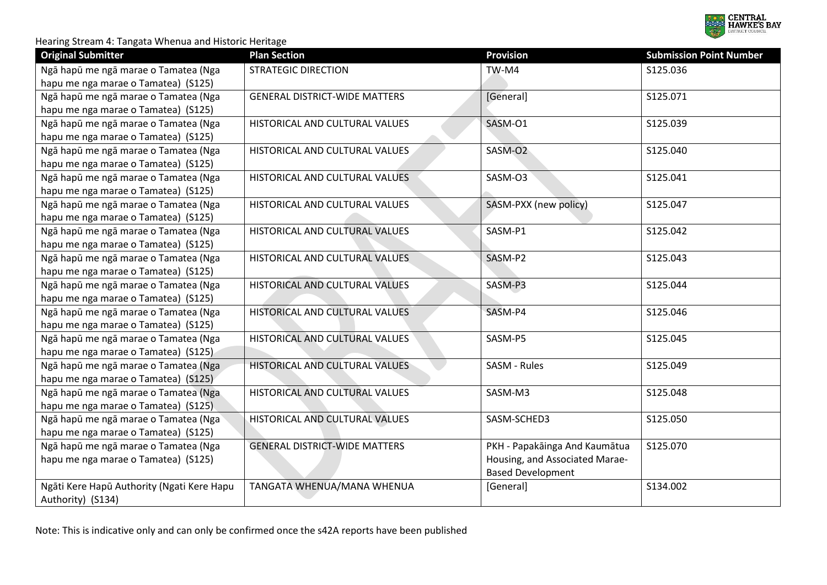

| <b>Original Submitter</b>                  | <b>Plan Section</b>                  | <b>Provision</b>               | <b>Submission Point Number</b> |
|--------------------------------------------|--------------------------------------|--------------------------------|--------------------------------|
| Ngā hapū me ngā marae o Tamatea (Nga       | <b>STRATEGIC DIRECTION</b>           | TW-M4                          | S125.036                       |
| hapu me nga marae o Tamatea) (S125)        |                                      |                                |                                |
| Ngā hapū me ngā marae o Tamatea (Nga       | <b>GENERAL DISTRICT-WIDE MATTERS</b> | [General]                      | S125.071                       |
| hapu me nga marae o Tamatea) (S125)        |                                      |                                |                                |
| Ngā hapū me ngā marae o Tamatea (Nga       | HISTORICAL AND CULTURAL VALUES       | SASM-O1                        | S125.039                       |
| hapu me nga marae o Tamatea) (S125)        |                                      |                                |                                |
| Ngā hapū me ngā marae o Tamatea (Nga       | HISTORICAL AND CULTURAL VALUES       | SASM-O2                        | S125.040                       |
| hapu me nga marae o Tamatea) (S125)        |                                      |                                |                                |
| Ngā hapū me ngā marae o Tamatea (Nga       | HISTORICAL AND CULTURAL VALUES       | SASM-O3                        | S125.041                       |
| hapu me nga marae o Tamatea) (S125)        |                                      |                                |                                |
| Ngā hapū me ngā marae o Tamatea (Nga       | HISTORICAL AND CULTURAL VALUES       | SASM-PXX (new policy)          | S125.047                       |
| hapu me nga marae o Tamatea) (S125)        |                                      |                                |                                |
| Ngā hapū me ngā marae o Tamatea (Nga       | HISTORICAL AND CULTURAL VALUES       | SASM-P1                        | S125.042                       |
| hapu me nga marae o Tamatea) (S125)        |                                      |                                |                                |
| Ngā hapū me ngā marae o Tamatea (Nga       | HISTORICAL AND CULTURAL VALUES       | SASM-P2                        | S125.043                       |
| hapu me nga marae o Tamatea) (S125)        |                                      |                                |                                |
| Ngā hapū me ngā marae o Tamatea (Nga       | HISTORICAL AND CULTURAL VALUES       | SASM-P3                        | S125.044                       |
| hapu me nga marae o Tamatea) (S125)        |                                      |                                |                                |
| Ngā hapū me ngā marae o Tamatea (Nga       | HISTORICAL AND CULTURAL VALUES       | SASM-P4                        | S125.046                       |
| hapu me nga marae o Tamatea) (S125)        |                                      |                                |                                |
| Ngā hapū me ngā marae o Tamatea (Nga       | HISTORICAL AND CULTURAL VALUES       | SASM-P5                        | S125.045                       |
| hapu me nga marae o Tamatea) (S125).       |                                      |                                |                                |
| Ngā hapū me ngā marae o Tamatea (Nga       | HISTORICAL AND CULTURAL VALUES       | SASM - Rules                   | S125.049                       |
| hapu me nga marae o Tamatea) (S125)        |                                      |                                |                                |
| Ngā hapū me ngā marae o Tamatea (Nga       | HISTORICAL AND CULTURAL VALUES       | SASM-M3                        | S125.048                       |
| hapu me nga marae o Tamatea) (S125)        |                                      |                                |                                |
| Ngā hapū me ngā marae o Tamatea (Nga       | HISTORICAL AND CULTURAL VALUES       | SASM-SCHED3                    | S125.050                       |
| hapu me nga marae o Tamatea) (S125)        |                                      |                                |                                |
| Ngā hapū me ngā marae o Tamatea (Nga       | <b>GENERAL DISTRICT-WIDE MATTERS</b> | PKH - Papakāinga And Kaumātua  | S125.070                       |
| hapu me nga marae o Tamatea) (S125)        |                                      | Housing, and Associated Marae- |                                |
|                                            |                                      | <b>Based Development</b>       |                                |
| Ngāti Kere Hapū Authority (Ngati Kere Hapu | TANGATA WHENUA/MANA WHENUA           | [General]                      | S134.002                       |
| Authority) (S134)                          |                                      |                                |                                |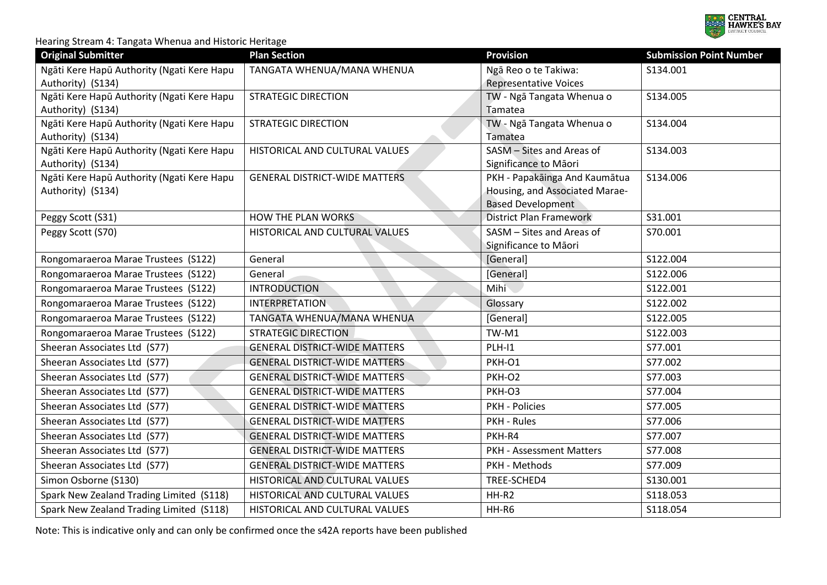

| <b>Original Submitter</b>                                       | <b>Plan Section</b>                  | <b>Provision</b>                                     | <b>Submission Point Number</b> |
|-----------------------------------------------------------------|--------------------------------------|------------------------------------------------------|--------------------------------|
| Ngāti Kere Hapū Authority (Ngati Kere Hapu<br>Authority) (S134) | TANGATA WHENUA/MANA WHENUA           | Ngā Reo o te Takiwa:<br><b>Representative Voices</b> | S134.001                       |
| Ngāti Kere Hapū Authority (Ngati Kere Hapu                      | <b>STRATEGIC DIRECTION</b>           | TW - Ngā Tangata Whenua o                            | S134.005                       |
| Authority) (S134)                                               |                                      | Tamatea                                              |                                |
| Ngāti Kere Hapū Authority (Ngati Kere Hapu                      | <b>STRATEGIC DIRECTION</b>           | TW - Ngā Tangata Whenua o                            | S134.004                       |
| Authority) (S134)                                               |                                      | Tamatea                                              |                                |
| Ngāti Kere Hapū Authority (Ngati Kere Hapu                      | HISTORICAL AND CULTURAL VALUES       | SASM - Sites and Areas of                            | S134.003                       |
| Authority) (S134)                                               |                                      | Significance to Māori                                |                                |
| Ngāti Kere Hapū Authority (Ngati Kere Hapu                      | <b>GENERAL DISTRICT-WIDE MATTERS</b> | PKH - Papakāinga And Kaumātua                        | S134.006                       |
| Authority) (S134)                                               |                                      | Housing, and Associated Marae-                       |                                |
|                                                                 |                                      | <b>Based Development</b>                             |                                |
| Peggy Scott (S31)                                               | <b>HOW THE PLAN WORKS</b>            | <b>District Plan Framework</b>                       | S31.001                        |
| Peggy Scott (S70)                                               | HISTORICAL AND CULTURAL VALUES       | SASM - Sites and Areas of                            | S70.001                        |
|                                                                 |                                      | Significance to Māori                                |                                |
| Rongomaraeroa Marae Trustees (S122)                             | General                              | [General]                                            | S122.004                       |
| Rongomaraeroa Marae Trustees (S122)                             | General                              | [General]                                            | S122.006                       |
| Rongomaraeroa Marae Trustees (S122)                             | <b>INTRODUCTION</b>                  | Mihi                                                 | S122.001                       |
| Rongomaraeroa Marae Trustees (S122)                             | <b>INTERPRETATION</b>                | Glossary                                             | S122.002                       |
| Rongomaraeroa Marae Trustees (S122)                             | TANGATA WHENUA/MANA WHENUA           | [General]                                            | S122.005                       |
| Rongomaraeroa Marae Trustees (S122)                             | <b>STRATEGIC DIRECTION</b>           | TW-M1                                                | S122.003                       |
| Sheeran Associates Ltd (S77)                                    | <b>GENERAL DISTRICT-WIDE MATTERS</b> | $PLH-11$                                             | S77.001                        |
| Sheeran Associates Ltd (S77)                                    | <b>GENERAL DISTRICT-WIDE MATTERS</b> | PKH-O1                                               | S77.002                        |
| Sheeran Associates Ltd (S77)                                    | <b>GENERAL DISTRICT-WIDE MATTERS</b> | PKH-O2                                               | S77.003                        |
| Sheeran Associates Ltd (S77)                                    | <b>GENERAL DISTRICT-WIDE MATTERS</b> | PKH-O3                                               | S77.004                        |
| Sheeran Associates Ltd (S77)                                    | <b>GENERAL DISTRICT-WIDE MATTERS</b> | <b>PKH - Policies</b>                                | S77.005                        |
| Sheeran Associates Ltd (S77)                                    | <b>GENERAL DISTRICT-WIDE MATTERS</b> | PKH - Rules                                          | S77.006                        |
| Sheeran Associates Ltd (S77)                                    | <b>GENERAL DISTRICT-WIDE MATTERS</b> | PKH-R4                                               | S77.007                        |
| Sheeran Associates Ltd (S77)                                    | <b>GENERAL DISTRICT-WIDE MATTERS</b> | <b>PKH - Assessment Matters</b>                      | S77.008                        |
| Sheeran Associates Ltd (S77)                                    | <b>GENERAL DISTRICT-WIDE MATTERS</b> | PKH - Methods                                        | S77.009                        |
| Simon Osborne (S130)                                            | HISTORICAL AND CULTURAL VALUES       | TREE-SCHED4                                          | S130.001                       |
| Spark New Zealand Trading Limited (S118)                        | HISTORICAL AND CULTURAL VALUES       | HH-R2                                                | S118.053                       |
| Spark New Zealand Trading Limited (S118)                        | HISTORICAL AND CULTURAL VALUES       | HH-R6                                                | S118.054                       |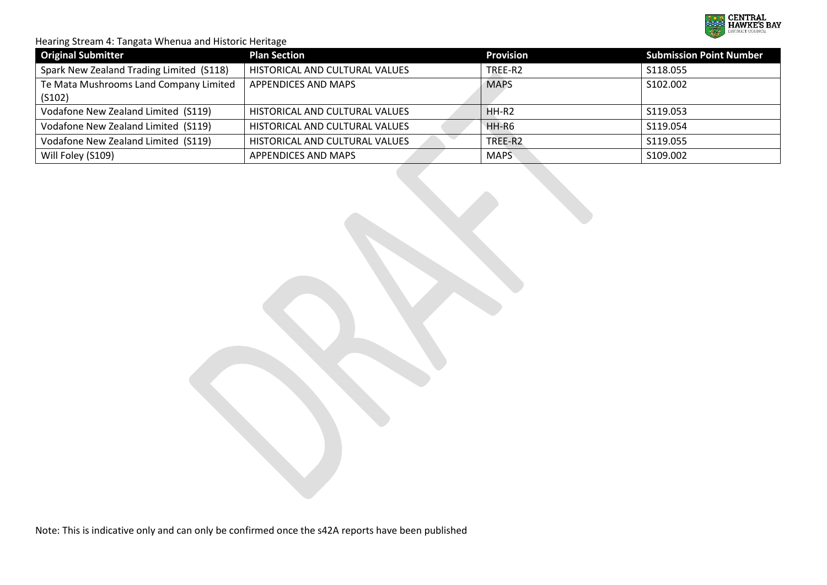

| <b>Original Submitter</b>                | <b>Plan Section</b>            | <b>Provision</b> | <b>Submission Point Number</b> |
|------------------------------------------|--------------------------------|------------------|--------------------------------|
| Spark New Zealand Trading Limited (S118) | HISTORICAL AND CULTURAL VALUES | TREE-R2          | S118.055                       |
| Te Mata Mushrooms Land Company Limited   | <b>APPENDICES AND MAPS</b>     | <b>MAPS</b>      | S102.002                       |
| (S102)                                   |                                |                  |                                |
| Vodafone New Zealand Limited (S119)      | HISTORICAL AND CULTURAL VALUES | $HH-R2$          | S119.053                       |
| Vodafone New Zealand Limited (S119)      | HISTORICAL AND CULTURAL VALUES | HH-R6            | S119.054                       |
| Vodafone New Zealand Limited (S119)      | HISTORICAL AND CULTURAL VALUES | TREE-R2          | S119.055                       |
| Will Foley (S109)                        | APPENDICES AND MAPS            | <b>MAPS</b>      | S109.002                       |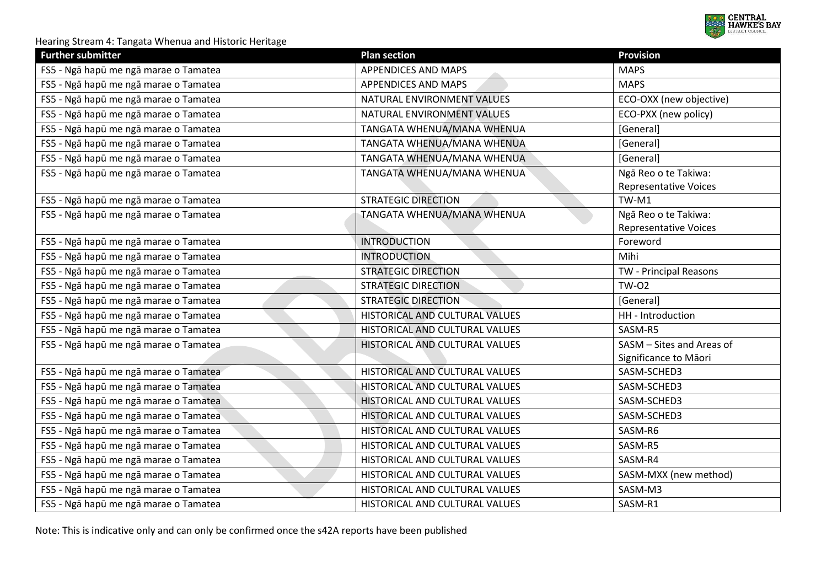

| <b>Further submitter</b>              | <b>Plan section</b>            | <b>Provision</b>                                     |
|---------------------------------------|--------------------------------|------------------------------------------------------|
| FS5 - Ngā hapū me ngā marae o Tamatea | <b>APPENDICES AND MAPS</b>     | <b>MAPS</b>                                          |
| FS5 - Ngā hapū me ngā marae o Tamatea | APPENDICES AND MAPS            | <b>MAPS</b>                                          |
| FS5 - Ngā hapū me ngā marae o Tamatea | NATURAL ENVIRONMENT VALUES     | ECO-OXX (new objective)                              |
| FS5 - Ngā hapū me ngā marae o Tamatea | NATURAL ENVIRONMENT VALUES     | ECO-PXX (new policy)                                 |
| FS5 - Ngā hapū me ngā marae o Tamatea | TANGATA WHENUA/MANA WHENUA     | [General]                                            |
| FS5 - Ngā hapū me ngā marae o Tamatea | TANGATA WHENUA/MANA WHENUA     | [General]                                            |
| FS5 - Ngā hapū me ngā marae o Tamatea | TANGATA WHENUA/MANA WHENUA     | [General]                                            |
| FS5 - Ngā hapū me ngā marae o Tamatea | TANGATA WHENUA/MANA WHENUA     | Ngā Reo o te Takiwa:<br><b>Representative Voices</b> |
| FS5 - Ngā hapū me ngā marae o Tamatea | <b>STRATEGIC DIRECTION</b>     | TW-M1                                                |
| FS5 - Ngā hapū me ngā marae o Tamatea | TANGATA WHENUA/MANA WHENUA     | Ngā Reo o te Takiwa:<br><b>Representative Voices</b> |
| FS5 - Ngā hapū me ngā marae o Tamatea | <b>INTRODUCTION</b>            | Foreword                                             |
| FS5 - Ngā hapū me ngā marae o Tamatea | <b>INTRODUCTION</b>            | Mihi                                                 |
| FS5 - Ngā hapū me ngā marae o Tamatea | <b>STRATEGIC DIRECTION</b>     | TW - Principal Reasons                               |
| FS5 - Ngā hapū me ngā marae o Tamatea | <b>STRATEGIC DIRECTION</b>     | <b>TW-02</b>                                         |
| FS5 - Ngā hapū me ngā marae o Tamatea | <b>STRATEGIC DIRECTION</b>     | [General]                                            |
| FS5 - Ngā hapū me ngā marae o Tamatea | HISTORICAL AND CULTURAL VALUES | HH - Introduction                                    |
| FS5 - Ngā hapū me ngā marae o Tamatea | HISTORICAL AND CULTURAL VALUES | SASM-R5                                              |
| FS5 - Ngā hapū me ngā marae o Tamatea | HISTORICAL AND CULTURAL VALUES | SASM - Sites and Areas of                            |
|                                       |                                | Significance to Māori                                |
| FS5 - Ngā hapū me ngā marae o Tamatea | HISTORICAL AND CULTURAL VALUES | SASM-SCHED3                                          |
| FS5 - Ngā hapū me ngā marae o Tamatea | HISTORICAL AND CULTURAL VALUES | SASM-SCHED3                                          |
| FS5 - Ngā hapū me ngā marae o Tamatea | HISTORICAL AND CULTURAL VALUES | SASM-SCHED3                                          |
| FS5 - Ngā hapū me ngā marae o Tamatea | HISTORICAL AND CULTURAL VALUES | SASM-SCHED3                                          |
| FS5 - Ngā hapū me ngā marae o Tamatea | HISTORICAL AND CULTURAL VALUES | SASM-R6                                              |
| FS5 - Ngā hapū me ngā marae o Tamatea | HISTORICAL AND CULTURAL VALUES | SASM-R5                                              |
| FS5 - Ngā hapū me ngā marae o Tamatea | HISTORICAL AND CULTURAL VALUES | SASM-R4                                              |
| FS5 - Ngā hapū me ngā marae o Tamatea | HISTORICAL AND CULTURAL VALUES | SASM-MXX (new method)                                |
| FS5 - Ngā hapū me ngā marae o Tamatea | HISTORICAL AND CULTURAL VALUES | SASM-M3                                              |
| FS5 - Ngā hapū me ngā marae o Tamatea | HISTORICAL AND CULTURAL VALUES | SASM-R1                                              |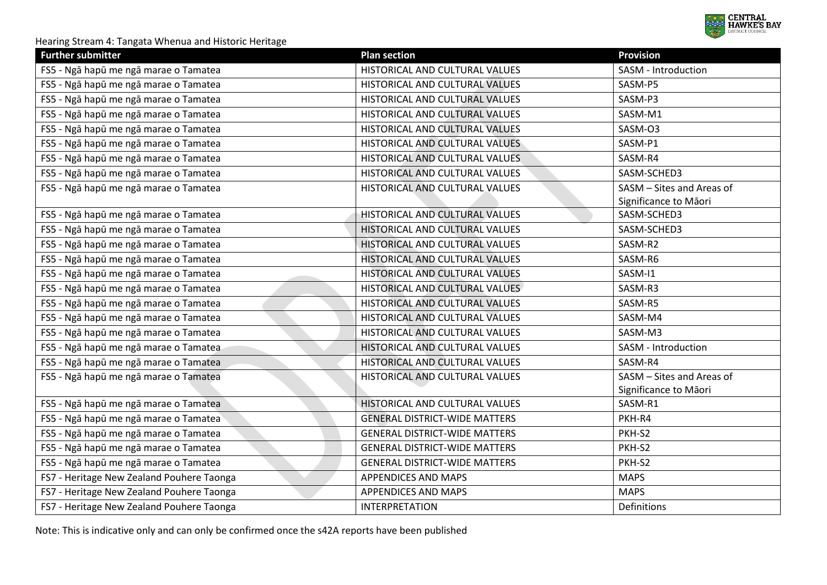

| <b>Further submitter</b>                  | <b>Plan section</b>                  | <b>Provision</b>          |
|-------------------------------------------|--------------------------------------|---------------------------|
| FS5 - Ngā hapū me ngā marae o Tamatea     | HISTORICAL AND CULTURAL VALUES       | SASM - Introduction       |
| FS5 - Ngā hapū me ngā marae o Tamatea     | HISTORICAL AND CULTURAL VALUES       | SASM-P5                   |
| FS5 - Ngā hapū me ngā marae o Tamatea     | HISTORICAL AND CULTURAL VALUES       | SASM-P3                   |
| FS5 - Ngā hapū me ngā marae o Tamatea     | HISTORICAL AND CULTURAL VALUES       | SASM-M1                   |
| FS5 - Ngā hapū me ngā marae o Tamatea     | HISTORICAL AND CULTURAL VALUES       | SASM-O3                   |
| FS5 - Ngā hapū me ngā marae o Tamatea     | HISTORICAL AND CULTURAL VALUES       | SASM-P1                   |
| FS5 - Ngā hapū me ngā marae o Tamatea     | HISTORICAL AND CULTURAL VALUES       | SASM-R4                   |
| FS5 - Ngā hapū me ngā marae o Tamatea     | HISTORICAL AND CULTURAL VALUES       | SASM-SCHED3               |
| FS5 - Ngā hapū me ngā marae o Tamatea     | HISTORICAL AND CULTURAL VALUES       | SASM - Sites and Areas of |
|                                           |                                      | Significance to Māori     |
| FS5 - Ngā hapū me ngā marae o Tamatea     | HISTORICAL AND CULTURAL VALUES       | SASM-SCHED3               |
| FS5 - Ngā hapū me ngā marae o Tamatea     | HISTORICAL AND CULTURAL VALUES       | SASM-SCHED3               |
| FS5 - Ngā hapū me ngā marae o Tamatea     | HISTORICAL AND CULTURAL VALUES       | SASM-R2                   |
| FS5 - Ngā hapū me ngā marae o Tamatea     | HISTORICAL AND CULTURAL VALUES       | SASM-R6                   |
| FS5 - Ngā hapū me ngā marae o Tamatea     | HISTORICAL AND CULTURAL VALUES       | SASM-I1                   |
| FS5 - Ngā hapū me ngā marae o Tamatea     | HISTORICAL AND CULTURAL VALUES       | SASM-R3                   |
| FS5 - Ngā hapū me ngā marae o Tamatea     | HISTORICAL AND CULTURAL VALUES       | SASM-R5                   |
| FS5 - Ngā hapū me ngā marae o Tamatea     | HISTORICAL AND CULTURAL VALUES       | SASM-M4                   |
| FS5 - Ngā hapū me ngā marae o Tamatea     | HISTORICAL AND CULTURAL VALUES       | SASM-M3                   |
| FS5 - Ngā hapū me ngā marae o Tamatea     | HISTORICAL AND CULTURAL VALUES       | SASM - Introduction       |
| FS5 - Ngā hapū me ngā marae o Tamatea     | HISTORICAL AND CULTURAL VALUES       | SASM-R4                   |
| FS5 - Ngā hapū me ngā marae o Tamatea     | HISTORICAL AND CULTURAL VALUES       | SASM - Sites and Areas of |
|                                           |                                      | Significance to Māori     |
| FS5 - Ngā hapū me ngā marae o Tamatea     | HISTORICAL AND CULTURAL VALUES       | SASM-R1                   |
| FS5 - Ngā hapū me ngā marae o Tamatea     | <b>GENERAL DISTRICT-WIDE MATTERS</b> | PKH-R4                    |
| FS5 - Ngā hapū me ngā marae o Tamatea     | <b>GENERAL DISTRICT-WIDE MATTERS</b> | PKH-S2                    |
| FS5 - Ngā hapū me ngā marae o Tamatea     | <b>GENERAL DISTRICT-WIDE MATTERS</b> | PKH-S2                    |
| FS5 - Ngā hapū me ngā marae o Tamatea     | <b>GENERAL DISTRICT-WIDE MATTERS</b> | PKH-S2                    |
| FS7 - Heritage New Zealand Pouhere Taonga | APPENDICES AND MAPS                  | <b>MAPS</b>               |
| FS7 - Heritage New Zealand Pouhere Taonga | APPENDICES AND MAPS                  | <b>MAPS</b>               |
| FS7 - Heritage New Zealand Pouhere Taonga | <b>INTERPRETATION</b>                | Definitions               |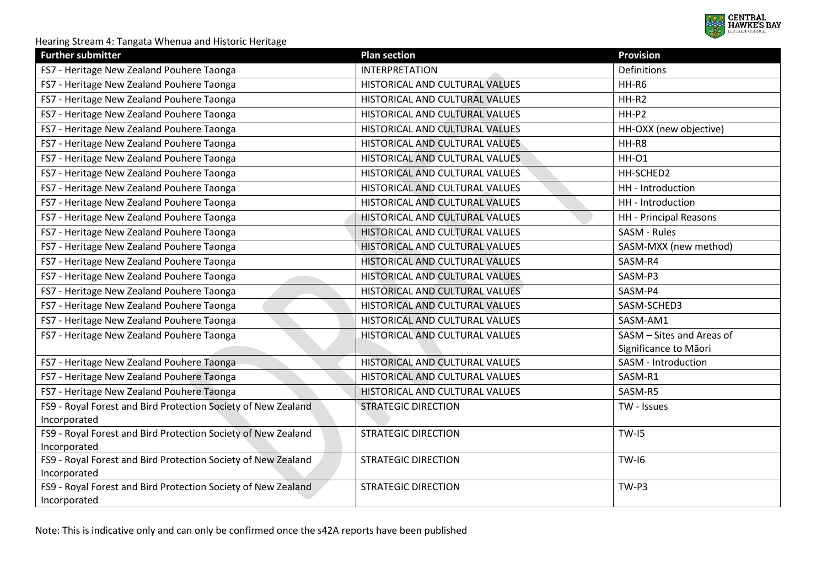

| <b>Further submitter</b>                                                      | <b>Plan section</b>                   | <b>Provision</b>              |
|-------------------------------------------------------------------------------|---------------------------------------|-------------------------------|
| FS7 - Heritage New Zealand Pouhere Taonga                                     | <b>INTERPRETATION</b>                 | Definitions                   |
| FS7 - Heritage New Zealand Pouhere Taonga                                     | HISTORICAL AND CULTURAL VALUES        | HH-R6                         |
| FS7 - Heritage New Zealand Pouhere Taonga                                     | HISTORICAL AND CULTURAL VALUES        | HH-R2                         |
| FS7 - Heritage New Zealand Pouhere Taonga                                     | HISTORICAL AND CULTURAL VALUES        | HH-P2                         |
| FS7 - Heritage New Zealand Pouhere Taonga                                     | HISTORICAL AND CULTURAL VALUES        | HH-OXX (new objective)        |
| FS7 - Heritage New Zealand Pouhere Taonga                                     | HISTORICAL AND CULTURAL VALUES        | HH-R8                         |
| FS7 - Heritage New Zealand Pouhere Taonga                                     | HISTORICAL AND CULTURAL VALUES        | <b>HH-01</b>                  |
| FS7 - Heritage New Zealand Pouhere Taonga                                     | HISTORICAL AND CULTURAL VALUES        | HH-SCHED2                     |
| FS7 - Heritage New Zealand Pouhere Taonga                                     | HISTORICAL AND CULTURAL VALUES        | HH - Introduction             |
| FS7 - Heritage New Zealand Pouhere Taonga                                     | HISTORICAL AND CULTURAL VALUES        | HH - Introduction             |
| FS7 - Heritage New Zealand Pouhere Taonga                                     | HISTORICAL AND CULTURAL VALUES        | <b>HH</b> - Principal Reasons |
| FS7 - Heritage New Zealand Pouhere Taonga                                     | HISTORICAL AND CULTURAL VALUES        | SASM - Rules                  |
| FS7 - Heritage New Zealand Pouhere Taonga                                     | HISTORICAL AND CULTURAL VALUES        | SASM-MXX (new method)         |
| FS7 - Heritage New Zealand Pouhere Taonga                                     | HISTORICAL AND CULTURAL VALUES        | SASM-R4                       |
| FS7 - Heritage New Zealand Pouhere Taonga                                     | HISTORICAL AND CULTURAL VALUES        | SASM-P3                       |
| FS7 - Heritage New Zealand Pouhere Taonga                                     | HISTORICAL AND CULTURAL VALUES        | SASM-P4                       |
| FS7 - Heritage New Zealand Pouhere Taonga                                     | HISTORICAL AND CULTURAL VALUES        | SASM-SCHED3                   |
| FS7 - Heritage New Zealand Pouhere Taonga                                     | HISTORICAL AND CULTURAL VALUES        | SASM-AM1                      |
| FS7 - Heritage New Zealand Pouhere Taonga                                     | HISTORICAL AND CULTURAL VALUES        | SASM - Sites and Areas of     |
|                                                                               |                                       | Significance to Māori         |
| FS7 - Heritage New Zealand Pouhere Taonga                                     | HISTORICAL AND CULTURAL VALUES        | SASM - Introduction           |
| FS7 - Heritage New Zealand Pouhere Taonga                                     | HISTORICAL AND CULTURAL VALUES        | SASM-R1                       |
| FS7 - Heritage New Zealand Pouhere Taonga                                     | <b>HISTORICAL AND CULTURAL VALUES</b> | SASM-R5                       |
| FS9 - Royal Forest and Bird Protection Society of New Zealand                 | <b>STRATEGIC DIRECTION</b>            | TW - Issues                   |
| Incorporated                                                                  |                                       |                               |
| FS9 - Royal Forest and Bird Protection Society of New Zealand                 | <b>STRATEGIC DIRECTION</b>            | <b>TW-I5</b>                  |
| Incorporated                                                                  |                                       |                               |
| FS9 - Royal Forest and Bird Protection Society of New Zealand                 | STRATEGIC DIRECTION                   | <b>TW-16</b>                  |
| Incorporated<br>FS9 - Royal Forest and Bird Protection Society of New Zealand | <b>STRATEGIC DIRECTION</b>            | TW-P3                         |
| Incorporated                                                                  |                                       |                               |
|                                                                               |                                       |                               |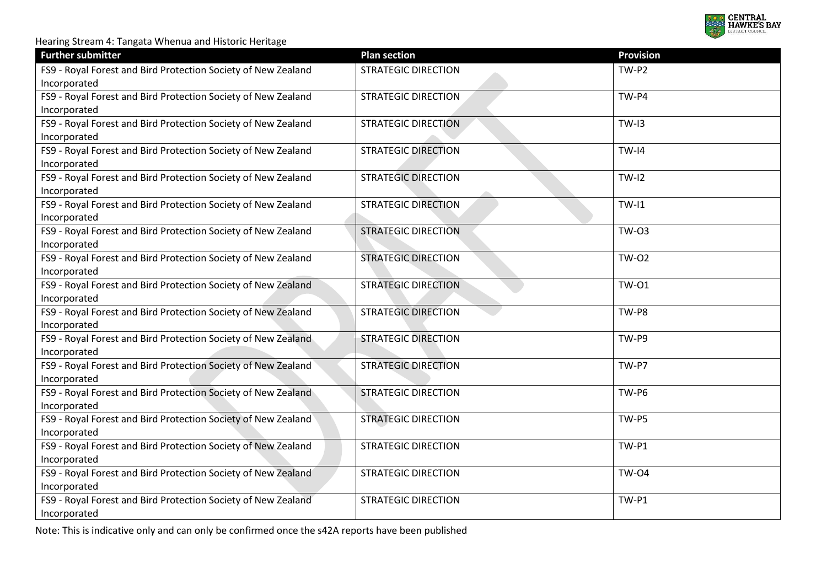

| <b>Further submitter</b>                                                      | <b>Plan section</b>        | <b>Provision</b> |
|-------------------------------------------------------------------------------|----------------------------|------------------|
| FS9 - Royal Forest and Bird Protection Society of New Zealand<br>Incorporated | <b>STRATEGIC DIRECTION</b> | TW-P2            |
| FS9 - Royal Forest and Bird Protection Society of New Zealand<br>Incorporated | <b>STRATEGIC DIRECTION</b> | TW-P4            |
| FS9 - Royal Forest and Bird Protection Society of New Zealand                 | <b>STRATEGIC DIRECTION</b> | <b>TW-I3</b>     |
| Incorporated                                                                  |                            |                  |
| FS9 - Royal Forest and Bird Protection Society of New Zealand<br>Incorporated | <b>STRATEGIC DIRECTION</b> | $TW-I4$          |
| FS9 - Royal Forest and Bird Protection Society of New Zealand<br>Incorporated | <b>STRATEGIC DIRECTION</b> | $TW-I2$          |
| FS9 - Royal Forest and Bird Protection Society of New Zealand<br>Incorporated | <b>STRATEGIC DIRECTION</b> | $TW-I1$          |
| FS9 - Royal Forest and Bird Protection Society of New Zealand<br>Incorporated | <b>STRATEGIC DIRECTION</b> | <b>TW-03</b>     |
| FS9 - Royal Forest and Bird Protection Society of New Zealand<br>Incorporated | <b>STRATEGIC DIRECTION</b> | <b>TW-02</b>     |
| FS9 - Royal Forest and Bird Protection Society of New Zealand<br>Incorporated | <b>STRATEGIC DIRECTION</b> | <b>TW-01</b>     |
| FS9 - Royal Forest and Bird Protection Society of New Zealand<br>Incorporated | <b>STRATEGIC DIRECTION</b> | TW-P8            |
| FS9 - Royal Forest and Bird Protection Society of New Zealand<br>Incorporated | <b>STRATEGIC DIRECTION</b> | TW-P9            |
| FS9 - Royal Forest and Bird Protection Society of New Zealand<br>Incorporated | <b>STRATEGIC DIRECTION</b> | TW-P7            |
| FS9 - Royal Forest and Bird Protection Society of New Zealand<br>Incorporated | <b>STRATEGIC DIRECTION</b> | TW-P6            |
| FS9 - Royal Forest and Bird Protection Society of New Zealand<br>Incorporated | <b>STRATEGIC DIRECTION</b> | TW-P5            |
| FS9 - Royal Forest and Bird Protection Society of New Zealand<br>Incorporated | <b>STRATEGIC DIRECTION</b> | TW-P1            |
| FS9 - Royal Forest and Bird Protection Society of New Zealand<br>Incorporated | <b>STRATEGIC DIRECTION</b> | <b>TW-04</b>     |
| FS9 - Royal Forest and Bird Protection Society of New Zealand<br>Incorporated | <b>STRATEGIC DIRECTION</b> | TW-P1            |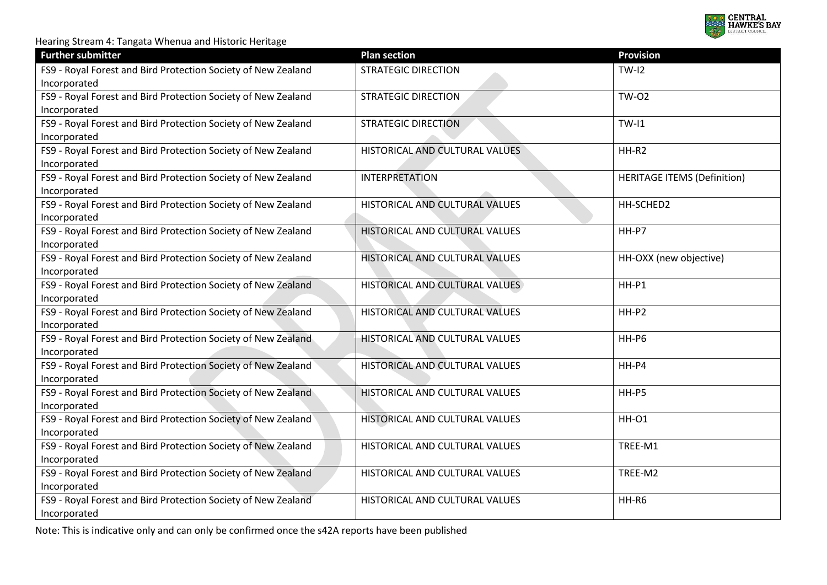

| <b>Further submitter</b>                                                      | <b>Plan section</b>                   | <b>Provision</b>                   |
|-------------------------------------------------------------------------------|---------------------------------------|------------------------------------|
| FS9 - Royal Forest and Bird Protection Society of New Zealand<br>Incorporated | <b>STRATEGIC DIRECTION</b>            | $TW-I2$                            |
| FS9 - Royal Forest and Bird Protection Society of New Zealand<br>Incorporated | <b>STRATEGIC DIRECTION</b>            | <b>TW-02</b>                       |
| FS9 - Royal Forest and Bird Protection Society of New Zealand<br>Incorporated | <b>STRATEGIC DIRECTION</b>            | $TW-I1$                            |
| FS9 - Royal Forest and Bird Protection Society of New Zealand<br>Incorporated | HISTORICAL AND CULTURAL VALUES        | HH-R2                              |
| FS9 - Royal Forest and Bird Protection Society of New Zealand<br>Incorporated | <b>INTERPRETATION</b>                 | <b>HERITAGE ITEMS (Definition)</b> |
| FS9 - Royal Forest and Bird Protection Society of New Zealand<br>Incorporated | HISTORICAL AND CULTURAL VALUES        | HH-SCHED2                          |
| FS9 - Royal Forest and Bird Protection Society of New Zealand<br>Incorporated | HISTORICAL AND CULTURAL VALUES        | HH-P7                              |
| FS9 - Royal Forest and Bird Protection Society of New Zealand<br>Incorporated | HISTORICAL AND CULTURAL VALUES        | HH-OXX (new objective)             |
| FS9 - Royal Forest and Bird Protection Society of New Zealand<br>Incorporated | HISTORICAL AND CULTURAL VALUES        | $HH-P1$                            |
| FS9 - Royal Forest and Bird Protection Society of New Zealand<br>Incorporated | HISTORICAL AND CULTURAL VALUES        | HH-P2                              |
| FS9 - Royal Forest and Bird Protection Society of New Zealand<br>Incorporated | HISTORICAL AND CULTURAL VALUES        | HH-P6                              |
| FS9 - Royal Forest and Bird Protection Society of New Zealand<br>Incorporated | HISTORICAL AND CULTURAL VALUES        | HH-P4                              |
| FS9 - Royal Forest and Bird Protection Society of New Zealand<br>Incorporated | <b>HISTORICAL AND CULTURAL VALUES</b> | HH-P5                              |
| FS9 - Royal Forest and Bird Protection Society of New Zealand<br>Incorporated | HISTORICAL AND CULTURAL VALUES        | <b>HH-01</b>                       |
| FS9 - Royal Forest and Bird Protection Society of New Zealand<br>Incorporated | HISTORICAL AND CULTURAL VALUES        | TREE-M1                            |
| FS9 - Royal Forest and Bird Protection Society of New Zealand<br>Incorporated | HISTORICAL AND CULTURAL VALUES        | TREE-M2                            |
| FS9 - Royal Forest and Bird Protection Society of New Zealand<br>Incorporated | HISTORICAL AND CULTURAL VALUES        | HH-R6                              |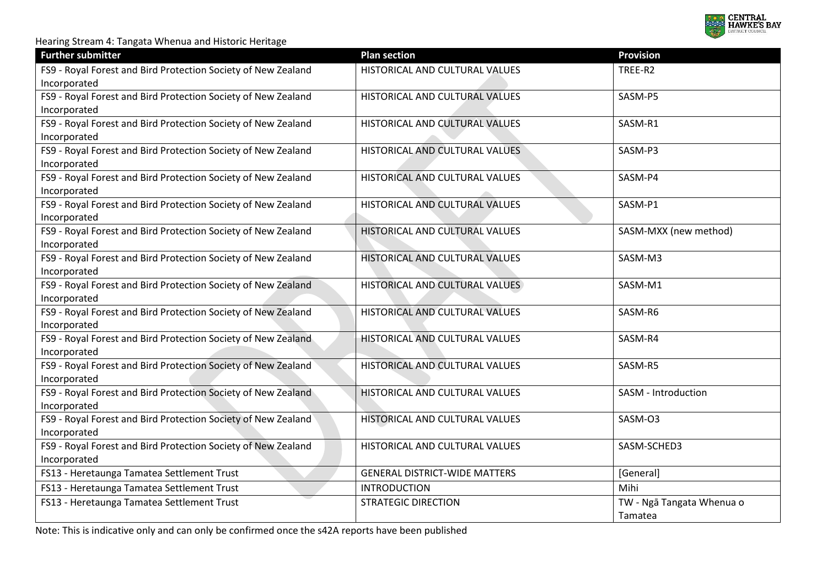

| <b>Further submitter</b>                                                      | <b>Plan section</b>                  | <b>Provision</b>                     |
|-------------------------------------------------------------------------------|--------------------------------------|--------------------------------------|
| FS9 - Royal Forest and Bird Protection Society of New Zealand<br>Incorporated | HISTORICAL AND CULTURAL VALUES       | TREE-R2                              |
| FS9 - Royal Forest and Bird Protection Society of New Zealand<br>Incorporated | HISTORICAL AND CULTURAL VALUES       | SASM-P5                              |
| FS9 - Royal Forest and Bird Protection Society of New Zealand<br>Incorporated | HISTORICAL AND CULTURAL VALUES       | SASM-R1                              |
| FS9 - Royal Forest and Bird Protection Society of New Zealand<br>Incorporated | HISTORICAL AND CULTURAL VALUES       | SASM-P3                              |
| FS9 - Royal Forest and Bird Protection Society of New Zealand<br>Incorporated | HISTORICAL AND CULTURAL VALUES       | SASM-P4                              |
| FS9 - Royal Forest and Bird Protection Society of New Zealand<br>Incorporated | HISTORICAL AND CULTURAL VALUES       | SASM-P1                              |
| FS9 - Royal Forest and Bird Protection Society of New Zealand<br>Incorporated | HISTORICAL AND CULTURAL VALUES       | SASM-MXX (new method)                |
| FS9 - Royal Forest and Bird Protection Society of New Zealand<br>Incorporated | HISTORICAL AND CULTURAL VALUES       | SASM-M3                              |
| FS9 - Royal Forest and Bird Protection Society of New Zealand<br>Incorporated | HISTORICAL AND CULTURAL VALUES       | SASM-M1                              |
| FS9 - Royal Forest and Bird Protection Society of New Zealand<br>Incorporated | HISTORICAL AND CULTURAL VALUES       | SASM-R6                              |
| FS9 - Royal Forest and Bird Protection Society of New Zealand<br>Incorporated | HISTORICAL AND CULTURAL VALUES       | SASM-R4                              |
| FS9 - Royal Forest and Bird Protection Society of New Zealand<br>Incorporated | HISTORICAL AND CULTURAL VALUES       | SASM-R5                              |
| FS9 - Royal Forest and Bird Protection Society of New Zealand<br>Incorporated | HISTORICAL AND CULTURAL VALUES       | SASM - Introduction                  |
| FS9 - Royal Forest and Bird Protection Society of New Zealand<br>Incorporated | HISTORICAL AND CULTURAL VALUES       | SASM-O3                              |
| FS9 - Royal Forest and Bird Protection Society of New Zealand<br>Incorporated | HISTORICAL AND CULTURAL VALUES       | SASM-SCHED3                          |
| FS13 - Heretaunga Tamatea Settlement Trust                                    | <b>GENERAL DISTRICT-WIDE MATTERS</b> | [General]                            |
| FS13 - Heretaunga Tamatea Settlement Trust                                    | <b>INTRODUCTION</b>                  | Mihi                                 |
| FS13 - Heretaunga Tamatea Settlement Trust                                    | <b>STRATEGIC DIRECTION</b>           | TW - Ngā Tangata Whenua o<br>Tamatea |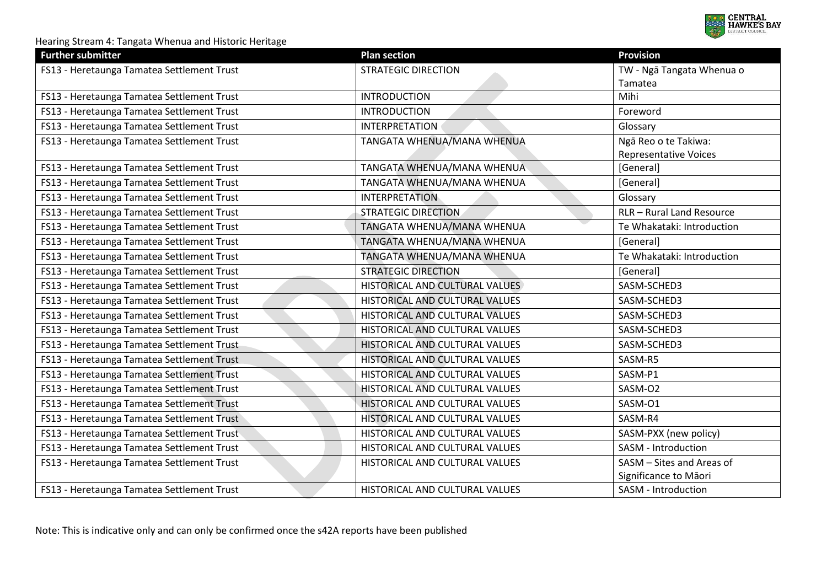

| <b>Further submitter</b>                   | <b>Plan section</b>            | <b>Provision</b>             |
|--------------------------------------------|--------------------------------|------------------------------|
| FS13 - Heretaunga Tamatea Settlement Trust | <b>STRATEGIC DIRECTION</b>     | TW - Ngā Tangata Whenua o    |
|                                            |                                | Tamatea                      |
| FS13 - Heretaunga Tamatea Settlement Trust | <b>INTRODUCTION</b>            | Mihi                         |
| FS13 - Heretaunga Tamatea Settlement Trust | <b>INTRODUCTION</b>            | Foreword                     |
| FS13 - Heretaunga Tamatea Settlement Trust | <b>INTERPRETATION</b>          | Glossary                     |
| FS13 - Heretaunga Tamatea Settlement Trust | TANGATA WHENUA/MANA WHENUA     | Ngā Reo o te Takiwa:         |
|                                            |                                | <b>Representative Voices</b> |
| FS13 - Heretaunga Tamatea Settlement Trust | TANGATA WHENUA/MANA WHENUA     | [General]                    |
| FS13 - Heretaunga Tamatea Settlement Trust | TANGATA WHENUA/MANA WHENUA     | [General]                    |
| FS13 - Heretaunga Tamatea Settlement Trust | <b>INTERPRETATION</b>          | Glossary                     |
| FS13 - Heretaunga Tamatea Settlement Trust | <b>STRATEGIC DIRECTION</b>     | RLR - Rural Land Resource    |
| FS13 - Heretaunga Tamatea Settlement Trust | TANGATA WHENUA/MANA WHENUA     | Te Whakataki: Introduction   |
| FS13 - Heretaunga Tamatea Settlement Trust | TANGATA WHENUA/MANA WHENUA     | [General]                    |
| FS13 - Heretaunga Tamatea Settlement Trust | TANGATA WHENUA/MANA WHENUA     | Te Whakataki: Introduction   |
| FS13 - Heretaunga Tamatea Settlement Trust | <b>STRATEGIC DIRECTION</b>     | [General]                    |
| FS13 - Heretaunga Tamatea Settlement Trust | HISTORICAL AND CULTURAL VALUES | SASM-SCHED3                  |
| FS13 - Heretaunga Tamatea Settlement Trust | HISTORICAL AND CULTURAL VALUES | SASM-SCHED3                  |
| FS13 - Heretaunga Tamatea Settlement Trust | HISTORICAL AND CULTURAL VALUES | SASM-SCHED3                  |
| FS13 - Heretaunga Tamatea Settlement Trust | HISTORICAL AND CULTURAL VALUES | SASM-SCHED3                  |
| FS13 - Heretaunga Tamatea Settlement Trust | HISTORICAL AND CULTURAL VALUES | SASM-SCHED3                  |
| FS13 - Heretaunga Tamatea Settlement Trust | HISTORICAL AND CULTURAL VALUES | SASM-R5                      |
| FS13 - Heretaunga Tamatea Settlement Trust | HISTORICAL AND CULTURAL VALUES | SASM-P1                      |
| FS13 - Heretaunga Tamatea Settlement Trust | HISTORICAL AND CULTURAL VALUES | SASM-O2                      |
| FS13 - Heretaunga Tamatea Settlement Trust | HISTORICAL AND CULTURAL VALUES | SASM-O1                      |
| FS13 - Heretaunga Tamatea Settlement Trust | HISTORICAL AND CULTURAL VALUES | SASM-R4                      |
| FS13 - Heretaunga Tamatea Settlement Trust | HISTORICAL AND CULTURAL VALUES | SASM-PXX (new policy)        |
| FS13 - Heretaunga Tamatea Settlement Trust | HISTORICAL AND CULTURAL VALUES | SASM - Introduction          |
| FS13 - Heretaunga Tamatea Settlement Trust | HISTORICAL AND CULTURAL VALUES | SASM - Sites and Areas of    |
|                                            |                                | Significance to Māori        |
| FS13 - Heretaunga Tamatea Settlement Trust | HISTORICAL AND CULTURAL VALUES | SASM - Introduction          |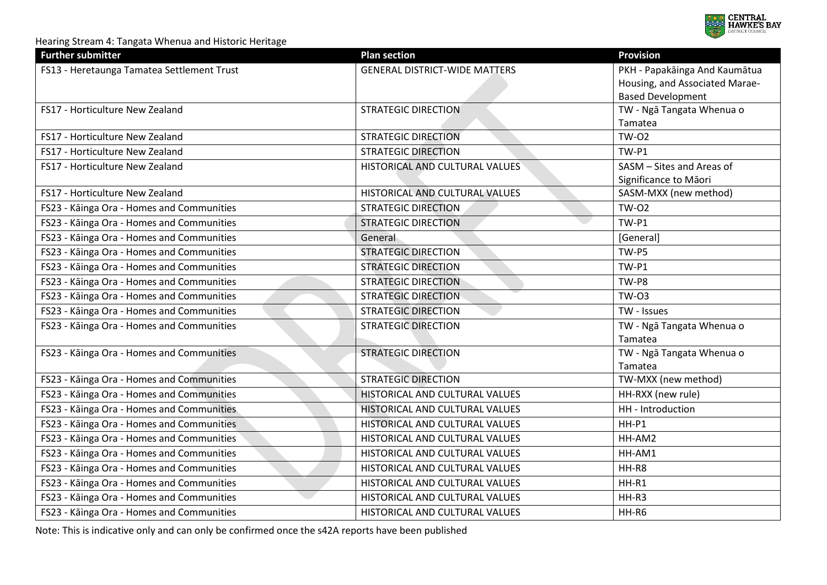

| <b>Further submitter</b>                   | <b>Plan section</b>                  | <b>Provision</b>               |
|--------------------------------------------|--------------------------------------|--------------------------------|
| FS13 - Heretaunga Tamatea Settlement Trust | <b>GENERAL DISTRICT-WIDE MATTERS</b> | PKH - Papakāinga And Kaumātua  |
|                                            |                                      | Housing, and Associated Marae- |
|                                            |                                      | <b>Based Development</b>       |
| FS17 - Horticulture New Zealand            | <b>STRATEGIC DIRECTION</b>           | TW - Ngā Tangata Whenua o      |
|                                            |                                      | Tamatea                        |
| FS17 - Horticulture New Zealand            | <b>STRATEGIC DIRECTION</b>           | <b>TW-02</b>                   |
| FS17 - Horticulture New Zealand            | <b>STRATEGIC DIRECTION</b>           | TW-P1                          |
| FS17 - Horticulture New Zealand            | HISTORICAL AND CULTURAL VALUES       | SASM - Sites and Areas of      |
|                                            |                                      | Significance to Māori          |
| FS17 - Horticulture New Zealand            | HISTORICAL AND CULTURAL VALUES       | SASM-MXX (new method)          |
| FS23 - Kāinga Ora - Homes and Communities  | <b>STRATEGIC DIRECTION</b>           | <b>TW-02</b>                   |
| FS23 - Kāinga Ora - Homes and Communities  | <b>STRATEGIC DIRECTION</b>           | <b>TW-P1</b>                   |
| FS23 - Kāinga Ora - Homes and Communities  | General                              | [General]                      |
| FS23 - Kāinga Ora - Homes and Communities  | <b>STRATEGIC DIRECTION</b>           | TW-P5                          |
| FS23 - Kāinga Ora - Homes and Communities  | <b>STRATEGIC DIRECTION</b>           | TW-P1                          |
| FS23 - Kāinga Ora - Homes and Communities  | <b>STRATEGIC DIRECTION</b>           | TW-P8                          |
| FS23 - Kāinga Ora - Homes and Communities  | <b>STRATEGIC DIRECTION</b>           | <b>TW-03</b>                   |
| FS23 - Kāinga Ora - Homes and Communities  | <b>STRATEGIC DIRECTION</b>           | TW - Issues                    |
| FS23 - Kāinga Ora - Homes and Communities  | <b>STRATEGIC DIRECTION</b>           | TW - Ngā Tangata Whenua o      |
|                                            |                                      | Tamatea                        |
| FS23 - Kāinga Ora - Homes and Communities  | <b>STRATEGIC DIRECTION</b>           | TW - Ngā Tangata Whenua o      |
|                                            |                                      | Tamatea                        |
| FS23 - Kāinga Ora - Homes and Communities  | <b>STRATEGIC DIRECTION</b>           | TW-MXX (new method)            |
| FS23 - Kāinga Ora - Homes and Communities  | HISTORICAL AND CULTURAL VALUES       | HH-RXX (new rule)              |
| FS23 - Kāinga Ora - Homes and Communities  | HISTORICAL AND CULTURAL VALUES       | HH - Introduction              |
| FS23 - Kāinga Ora - Homes and Communities  | HISTORICAL AND CULTURAL VALUES       | $HH-P1$                        |
| FS23 - Kāinga Ora - Homes and Communities  | HISTORICAL AND CULTURAL VALUES       | HH-AM2                         |
| FS23 - Kāinga Ora - Homes and Communities  | HISTORICAL AND CULTURAL VALUES       | HH-AM1                         |
| FS23 - Kāinga Ora - Homes and Communities  | HISTORICAL AND CULTURAL VALUES       | HH-R8                          |
| FS23 - Kāinga Ora - Homes and Communities  | HISTORICAL AND CULTURAL VALUES       | HH-R1                          |
| FS23 - Kāinga Ora - Homes and Communities  | HISTORICAL AND CULTURAL VALUES       | HH-R3                          |
| FS23 - Kāinga Ora - Homes and Communities  | HISTORICAL AND CULTURAL VALUES       | HH-R6                          |